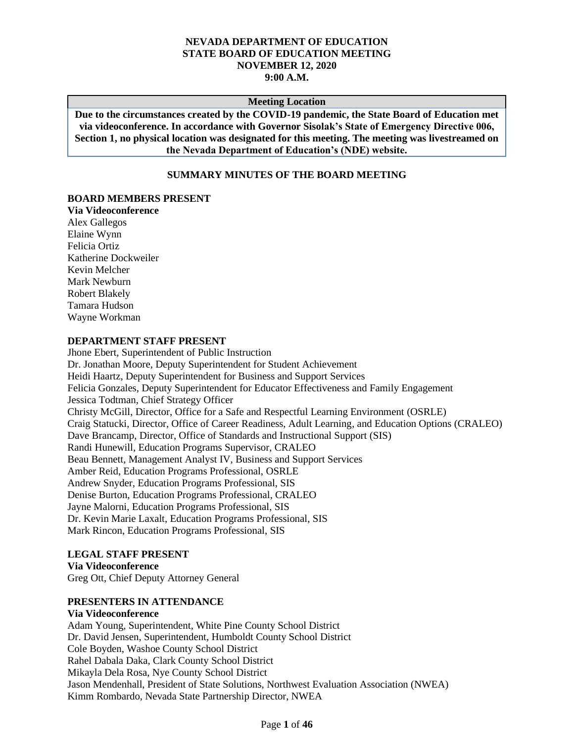#### **NEVADA DEPARTMENT OF EDUCATION STATE BOARD OF EDUCATION MEETING NOVEMBER 12, 2020 9:00 A.M.**

#### **Meeting Location**

**Due to the circumstances created by the COVID-19 pandemic, the State Board of Education met via videoconference. In accordance with Governor Sisolak's State of Emergency Directive 006, Section 1, no physical location was designated for this meeting. The meeting was livestreamed on the Nevada Department of Education's (NDE) website.**

## **SUMMARY MINUTES OF THE BOARD MEETING**

#### **BOARD MEMBERS PRESENT**

**Via Videoconference** Alex Gallegos Elaine Wynn Felicia Ortiz Katherine Dockweiler Kevin Melcher Mark Newburn Robert Blakely Tamara Hudson Wayne Workman

#### **DEPARTMENT STAFF PRESENT**

Jhone Ebert, Superintendent of Public Instruction Dr. Jonathan Moore, Deputy Superintendent for Student Achievement Heidi Haartz, Deputy Superintendent for Business and Support Services Felicia Gonzales, Deputy Superintendent for Educator Effectiveness and Family Engagement Jessica Todtman, Chief Strategy Officer Christy McGill, Director, Office for a Safe and Respectful Learning Environment (OSRLE) Craig Statucki, Director, Office of Career Readiness, Adult Learning, and Education Options (CRALEO) Dave Brancamp, Director, Office of Standards and Instructional Support (SIS) Randi Hunewill, Education Programs Supervisor, CRALEO Beau Bennett, Management Analyst IV, Business and Support Services Amber Reid, Education Programs Professional, OSRLE Andrew Snyder, Education Programs Professional, SIS Denise Burton, Education Programs Professional, CRALEO Jayne Malorni, Education Programs Professional, SIS Dr. Kevin Marie Laxalt, Education Programs Professional, SIS Mark Rincon, Education Programs Professional, SIS

#### **LEGAL STAFF PRESENT**

**Via Videoconference** Greg Ott, Chief Deputy Attorney General

#### **PRESENTERS IN ATTENDANCE**

**Via Videoconference** Adam Young, Superintendent, White Pine County School District Dr. David Jensen, Superintendent, Humboldt County School District Cole Boyden, Washoe County School District Rahel Dabala Daka, Clark County School District Mikayla Dela Rosa, Nye County School District Jason Mendenhall, President of State Solutions, Northwest Evaluation Association (NWEA) Kimm Rombardo, Nevada State Partnership Director, NWEA

#### Page **1** of **46**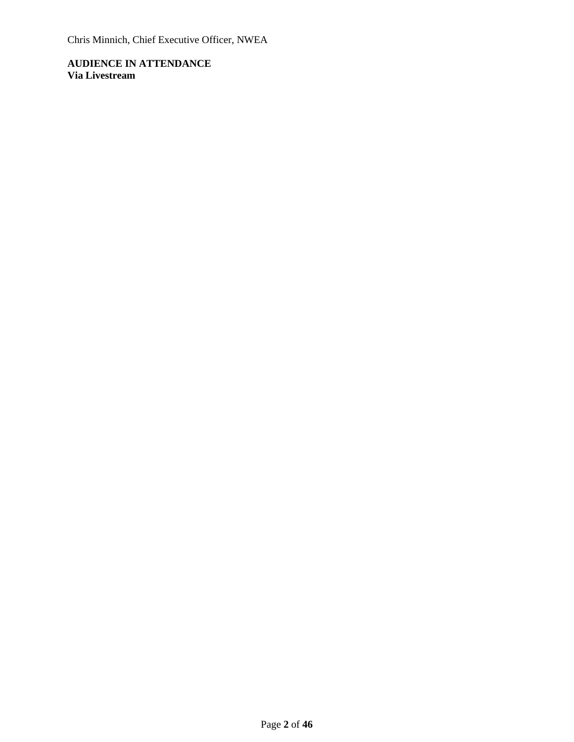Chris Minnich, Chief Executive Officer, NWEA

**AUDIENCE IN ATTENDANCE Via Livestream**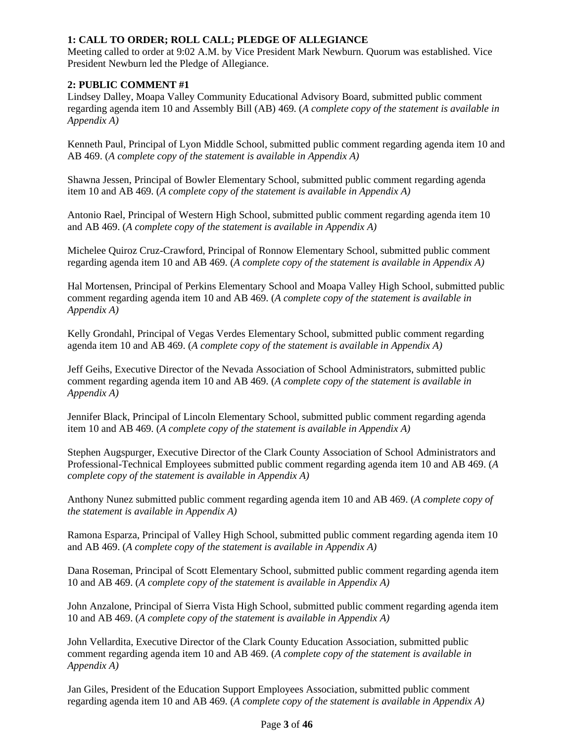# **1: CALL TO ORDER; ROLL CALL; PLEDGE OF ALLEGIANCE**

Meeting called to order at 9:02 A.M. by Vice President Mark Newburn. Quorum was established. Vice President Newburn led the Pledge of Allegiance.

# **2: PUBLIC COMMENT #1**

Lindsey Dalley, Moapa Valley Community Educational Advisory Board, submitted public comment regarding agenda item 10 and Assembly Bill (AB) 469. (*A complete copy of the statement is available in Appendix A)*

Kenneth Paul, Principal of Lyon Middle School, submitted public comment regarding agenda item 10 and AB 469. (*A complete copy of the statement is available in Appendix A)*

Shawna Jessen, Principal of Bowler Elementary School, submitted public comment regarding agenda item 10 and AB 469. (*A complete copy of the statement is available in Appendix A)*

Antonio Rael, Principal of Western High School, submitted public comment regarding agenda item 10 and AB 469. (*A complete copy of the statement is available in Appendix A)*

Michelee Quiroz Cruz-Crawford, Principal of Ronnow Elementary School, submitted public comment regarding agenda item 10 and AB 469. (*A complete copy of the statement is available in Appendix A)*

Hal Mortensen, Principal of Perkins Elementary School and Moapa Valley High School, submitted public comment regarding agenda item 10 and AB 469. (*A complete copy of the statement is available in Appendix A)*

Kelly Grondahl, Principal of Vegas Verdes Elementary School, submitted public comment regarding agenda item 10 and AB 469. (*A complete copy of the statement is available in Appendix A)*

Jeff Geihs, Executive Director of the Nevada Association of School Administrators, submitted public comment regarding agenda item 10 and AB 469. (*A complete copy of the statement is available in Appendix A)*

Jennifer Black, Principal of Lincoln Elementary School, submitted public comment regarding agenda item 10 and AB 469. (*A complete copy of the statement is available in Appendix A)*

Stephen Augspurger, Executive Director of the Clark County Association of School Administrators and Professional-Technical Employees submitted public comment regarding agenda item 10 and AB 469. (*A complete copy of the statement is available in Appendix A)*

Anthony Nunez submitted public comment regarding agenda item 10 and AB 469. (*A complete copy of the statement is available in Appendix A)*

Ramona Esparza, Principal of Valley High School, submitted public comment regarding agenda item 10 and AB 469. (*A complete copy of the statement is available in Appendix A)*

Dana Roseman, Principal of Scott Elementary School, submitted public comment regarding agenda item 10 and AB 469. (*A complete copy of the statement is available in Appendix A)*

John Anzalone, Principal of Sierra Vista High School, submitted public comment regarding agenda item 10 and AB 469. (*A complete copy of the statement is available in Appendix A)*

John Vellardita, Executive Director of the Clark County Education Association, submitted public comment regarding agenda item 10 and AB 469. (*A complete copy of the statement is available in Appendix A)*

Jan Giles, President of the Education Support Employees Association, submitted public comment regarding agenda item 10 and AB 469. (*A complete copy of the statement is available in Appendix A)*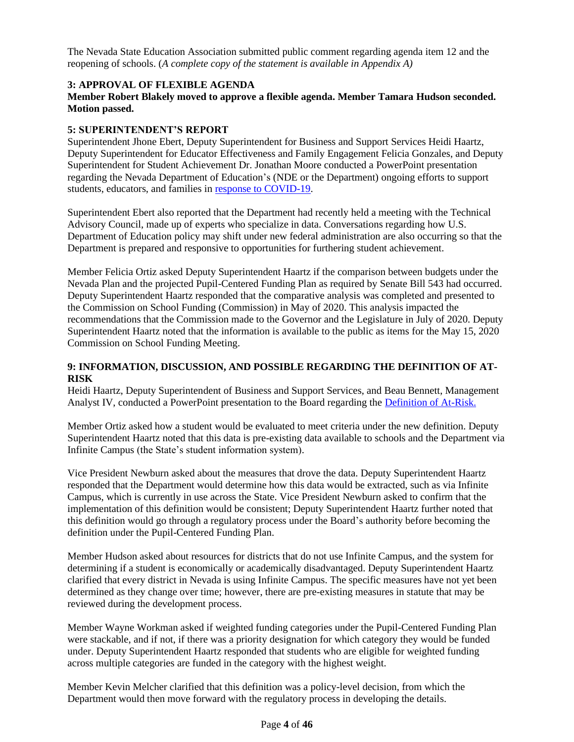The Nevada State Education Association submitted public comment regarding agenda item 12 and the reopening of schools. (*A complete copy of the statement is available in Appendix A)*

# **3: APPROVAL OF FLEXIBLE AGENDA**

# **Member Robert Blakely moved to approve a flexible agenda. Member Tamara Hudson seconded. Motion passed.**

## **5: SUPERINTENDENT'S REPORT**

Superintendent Jhone Ebert, Deputy Superintendent for Business and Support Services Heidi Haartz, Deputy Superintendent for Educator Effectiveness and Family Engagement Felicia Gonzales, and Deputy Superintendent for Student Achievement Dr. Jonathan Moore conducted a PowerPoint presentation regarding the Nevada Department of Education's (NDE or the Department) ongoing efforts to support students, educators, and families in [response to COVID-19.](http://www.doe.nv.gov/uploadedFiles/ndedoenvgov/content/Boards_Commissions_Councils/State_Board_of_Education/2020/November/SBESuptReport.pdf)

Superintendent Ebert also reported that the Department had recently held a meeting with the Technical Advisory Council, made up of experts who specialize in data. Conversations regarding how U.S. Department of Education policy may shift under new federal administration are also occurring so that the Department is prepared and responsive to opportunities for furthering student achievement.

Member Felicia Ortiz asked Deputy Superintendent Haartz if the comparison between budgets under the Nevada Plan and the projected Pupil-Centered Funding Plan as required by Senate Bill 543 had occurred. Deputy Superintendent Haartz responded that the comparative analysis was completed and presented to the Commission on School Funding (Commission) in May of 2020. This analysis impacted the recommendations that the Commission made to the Governor and the Legislature in July of 2020. Deputy Superintendent Haartz noted that the information is available to the public as items for the May 15, 2020 Commission on School Funding Meeting.

## **9: INFORMATION, DISCUSSION, AND POSSIBLE REGARDING THE DEFINITION OF AT-RISK**

Heidi Haartz, Deputy Superintendent of Business and Support Services, and Beau Bennett, Management Analyst IV, conducted a PowerPoint presentation to the Board regarding the [Definition of At-Risk.](http://www.doe.nv.gov/uploadedFiles/ndedoenvgov/content/Boards_Commissions_Councils/State_Board_of_Education/2020/November/item9_Options%20for%20At%20Risk%20Definition.pdf)

Member Ortiz asked how a student would be evaluated to meet criteria under the new definition. Deputy Superintendent Haartz noted that this data is pre-existing data available to schools and the Department via Infinite Campus (the State's student information system).

Vice President Newburn asked about the measures that drove the data. Deputy Superintendent Haartz responded that the Department would determine how this data would be extracted, such as via Infinite Campus, which is currently in use across the State. Vice President Newburn asked to confirm that the implementation of this definition would be consistent; Deputy Superintendent Haartz further noted that this definition would go through a regulatory process under the Board's authority before becoming the definition under the Pupil-Centered Funding Plan.

Member Hudson asked about resources for districts that do not use Infinite Campus, and the system for determining if a student is economically or academically disadvantaged. Deputy Superintendent Haartz clarified that every district in Nevada is using Infinite Campus. The specific measures have not yet been determined as they change over time; however, there are pre-existing measures in statute that may be reviewed during the development process.

Member Wayne Workman asked if weighted funding categories under the Pupil-Centered Funding Plan were stackable, and if not, if there was a priority designation for which category they would be funded under. Deputy Superintendent Haartz responded that students who are eligible for weighted funding across multiple categories are funded in the category with the highest weight.

Member Kevin Melcher clarified that this definition was a policy-level decision, from which the Department would then move forward with the regulatory process in developing the details.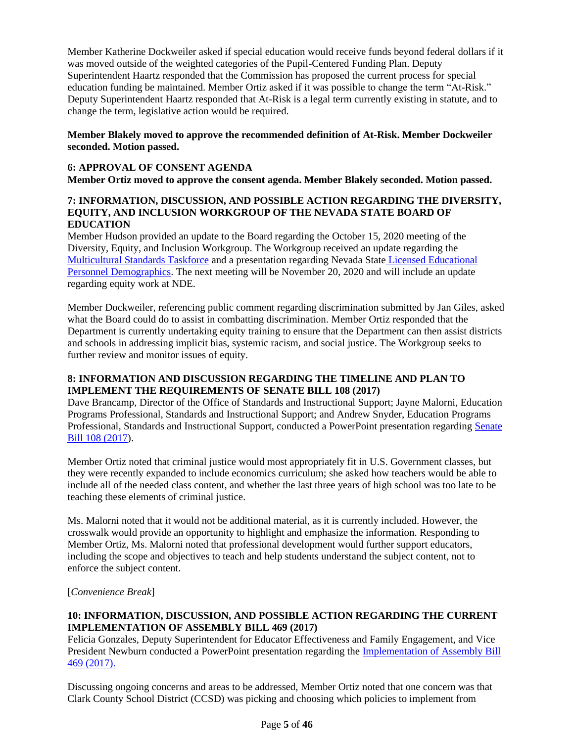Member Katherine Dockweiler asked if special education would receive funds beyond federal dollars if it was moved outside of the weighted categories of the Pupil-Centered Funding Plan. Deputy Superintendent Haartz responded that the Commission has proposed the current process for special education funding be maintained. Member Ortiz asked if it was possible to change the term "At-Risk." Deputy Superintendent Haartz responded that At-Risk is a legal term currently existing in statute, and to change the term, legislative action would be required.

## **Member Blakely moved to approve the recommended definition of At-Risk. Member Dockweiler seconded. Motion passed.**

# **6: APPROVAL OF CONSENT AGENDA**

**Member Ortiz moved to approve the consent agenda. Member Blakely seconded. Motion passed.**

#### **7: INFORMATION, DISCUSSION, AND POSSIBLE ACTION REGARDING THE DIVERSITY, EQUITY, AND INCLUSION WORKGROUP OF THE NEVADA STATE BOARD OF EDUCATION**

Member Hudson provided an update to the Board regarding the October 15, 2020 meeting of the Diversity, Equity, and Inclusion Workgroup. The Workgroup received an update regarding the [Multicultural Standards Taskforce](http://www.doe.nv.gov/uploadedFiles/ndedoenvgov/content/Boards_Commissions_Councils/State_Board_of_Education/2020/October/DEIpresentation.pdf) and a presentation regarding Nevada State [Licensed Educational](http://www.doe.nv.gov/uploadedFiles/ndedoenvgov/content/Boards_Commissions_Councils/State_Board_of_Education/2020/October/DEIPresentationonEducatorDiversity.pdf)  [Personnel Demographics.](http://www.doe.nv.gov/uploadedFiles/ndedoenvgov/content/Boards_Commissions_Councils/State_Board_of_Education/2020/October/DEIPresentationonEducatorDiversity.pdf) The next meeting will be November 20, 2020 and will include an update regarding equity work at NDE.

Member Dockweiler, referencing public comment regarding discrimination submitted by Jan Giles, asked what the Board could do to assist in combatting discrimination. Member Ortiz responded that the Department is currently undertaking equity training to ensure that the Department can then assist districts and schools in addressing implicit bias, systemic racism, and social justice. The Workgroup seeks to further review and monitor issues of equity.

# **8: INFORMATION AND DISCUSSION REGARDING THE TIMELINE AND PLAN TO IMPLEMENT THE REQUIREMENTS OF SENATE BILL 108 (2017)**

Dave Brancamp, Director of the Office of Standards and Instructional Support; Jayne Malorni, Education Programs Professional, Standards and Instructional Support; and Andrew Snyder, Education Programs Professional, Standards and Instructional Support, conducted a PowerPoint presentation regarding [Senate](http://www.doe.nv.gov/uploadedFiles/ndedoenvgov/content/Boards_Commissions_Councils/State_Board_of_Education/2020/November/SB108.pdf)  [Bill 108 \(2017\)](http://www.doe.nv.gov/uploadedFiles/ndedoenvgov/content/Boards_Commissions_Councils/State_Board_of_Education/2020/November/SB108.pdf).

Member Ortiz noted that criminal justice would most appropriately fit in U.S. Government classes, but they were recently expanded to include economics curriculum; she asked how teachers would be able to include all of the needed class content, and whether the last three years of high school was too late to be teaching these elements of criminal justice.

Ms. Malorni noted that it would not be additional material, as it is currently included. However, the crosswalk would provide an opportunity to highlight and emphasize the information. Responding to Member Ortiz, Ms. Malorni noted that professional development would further support educators, including the scope and objectives to teach and help students understand the subject content, not to enforce the subject content.

[*Convenience Break*]

# **10: INFORMATION, DISCUSSION, AND POSSIBLE ACTION REGARDING THE CURRENT IMPLEMENTATION OF ASSEMBLY BILL 469 (2017)**

Felicia Gonzales, Deputy Superintendent for Educator Effectiveness and Family Engagement, and Vice President Newburn conducted a PowerPoint presentation regarding the [Implementation of Assembly Bill](http://www.doe.nv.gov/uploadedFiles/ndedoenvgov/content/Boards_Commissions_Councils/State_Board_of_Education/2020/November/Item10-SBEPresentation.pdf)  [469 \(2017\).](http://www.doe.nv.gov/uploadedFiles/ndedoenvgov/content/Boards_Commissions_Councils/State_Board_of_Education/2020/November/Item10-SBEPresentation.pdf)

Discussing ongoing concerns and areas to be addressed, Member Ortiz noted that one concern was that Clark County School District (CCSD) was picking and choosing which policies to implement from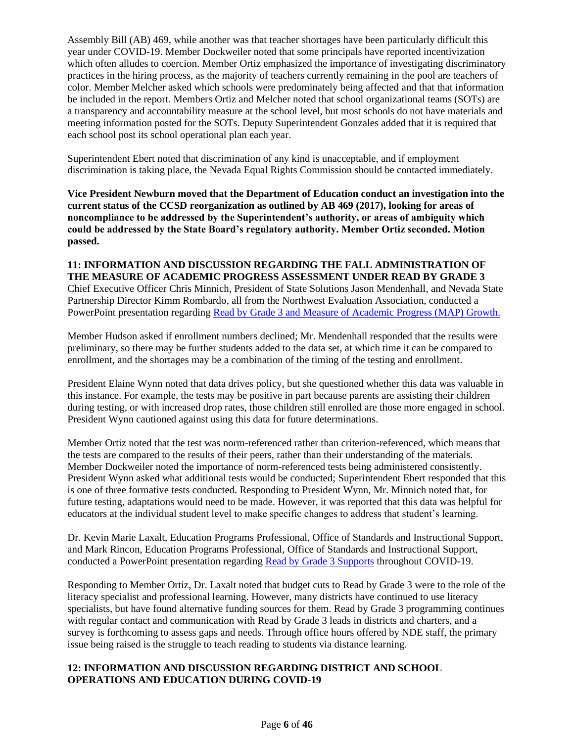Assembly Bill (AB) 469, while another was that teacher shortages have been particularly difficult this year under COVID-19. Member Dockweiler noted that some principals have reported incentivization which often alludes to coercion. Member Ortiz emphasized the importance of investigating discriminatory practices in the hiring process, as the majority of teachers currently remaining in the pool are teachers of color. Member Melcher asked which schools were predominately being affected and that that information be included in the report. Members Ortiz and Melcher noted that school organizational teams (SOTs) are a transparency and accountability measure at the school level, but most schools do not have materials and meeting information posted for the SOTs. Deputy Superintendent Gonzales added that it is required that each school post its school operational plan each year.

Superintendent Ebert noted that discrimination of any kind is unacceptable, and if employment discrimination is taking place, the Nevada Equal Rights Commission should be contacted immediately.

**Vice President Newburn moved that the Department of Education conduct an investigation into the current status of the CCSD reorganization as outlined by AB 469 (2017), looking for areas of noncompliance to be addressed by the Superintendent's authority, or areas of ambiguity which could be addressed by the State Board's regulatory authority. Member Ortiz seconded. Motion passed.** 

# **11: INFORMATION AND DISCUSSION REGARDING THE FALL ADMINISTRATION OF THE MEASURE OF ACADEMIC PROGRESS ASSESSMENT UNDER READ BY GRADE 3**

Chief Executive Officer Chris Minnich, President of State Solutions Jason Mendenhall, and Nevada State Partnership Director Kimm Rombardo, all from the Northwest Evaluation Association, conducted a PowerPoint presentation regarding [Read by Grade 3 and Measure of Academic Progress \(MAP\) Growth.](http://www.doe.nv.gov/uploadedFiles/ndedoenvgov/content/Boards_Commissions_Councils/State_Board_of_Education/2020/November/2020-11-12_NVDoE_Board_Presentation.pdf)

Member Hudson asked if enrollment numbers declined; Mr. Mendenhall responded that the results were preliminary, so there may be further students added to the data set, at which time it can be compared to enrollment, and the shortages may be a combination of the timing of the testing and enrollment.

President Elaine Wynn noted that data drives policy, but she questioned whether this data was valuable in this instance. For example, the tests may be positive in part because parents are assisting their children during testing, or with increased drop rates, those children still enrolled are those more engaged in school. President Wynn cautioned against using this data for future determinations.

Member Ortiz noted that the test was norm-referenced rather than criterion-referenced, which means that the tests are compared to the results of their peers, rather than their understanding of the materials. Member Dockweiler noted the importance of norm-referenced tests being administered consistently. President Wynn asked what additional tests would be conducted; Superintendent Ebert responded that this is one of three formative tests conducted. Responding to President Wynn, Mr. Minnich noted that, for future testing, adaptations would need to be made. However, it was reported that this data was helpful for educators at the individual student level to make specific changes to address that student's learning.

Dr. Kevin Marie Laxalt, Education Programs Professional, Office of Standards and Instructional Support, and Mark Rincon, Education Programs Professional, Office of Standards and Instructional Support, conducted a PowerPoint presentation regarding [Read by Grade 3 Supports](http://www.doe.nv.gov/uploadedFiles/ndedoenvgov/content/Boards_Commissions_Councils/State_Board_of_Education/2020/November/RBG3COVID-19EducatorSupport.pdf) throughout COVID-19.

Responding to Member Ortiz, Dr. Laxalt noted that budget cuts to Read by Grade 3 were to the role of the literacy specialist and professional learning. However, many districts have continued to use literacy specialists, but have found alternative funding sources for them. Read by Grade 3 programming continues with regular contact and communication with Read by Grade 3 leads in districts and charters, and a survey is forthcoming to assess gaps and needs. Through office hours offered by NDE staff, the primary issue being raised is the struggle to teach reading to students via distance learning.

### **12: INFORMATION AND DISCUSSION REGARDING DISTRICT AND SCHOOL OPERATIONS AND EDUCATION DURING COVID-19**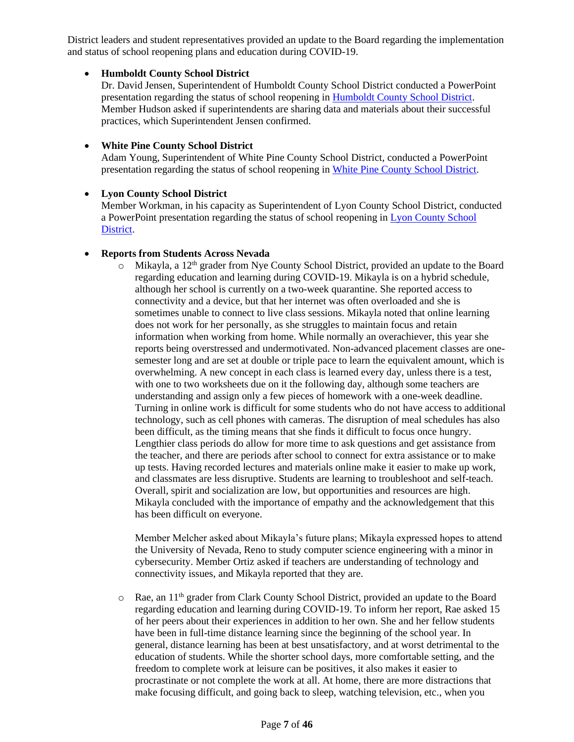District leaders and student representatives provided an update to the Board regarding the implementation and status of school reopening plans and education during COVID-19.

## • **Humboldt County School District**

Dr. David Jensen, Superintendent of Humboldt County School District conducted a PowerPoint presentation regarding the status of school reopening in [Humboldt County School District.](http://www.doe.nv.gov/uploadedFiles/ndedoenvgov/content/Boards_Commissions_Councils/State_Board_of_Education/2020/November/HumboldtReopeningPresentation_AT1.pdf) Member Hudson asked if superintendents are sharing data and materials about their successful practices, which Superintendent Jensen confirmed.

# • **White Pine County School District**

Adam Young, Superintendent of White Pine County School District, conducted a PowerPoint presentation regarding the status of school reopening in [White Pine County School District.](http://www.doe.nv.gov/uploadedFiles/ndedoenvgov/content/Boards_Commissions_Councils/State_Board_of_Education/2020/November/WPCSDReturntoSchoolPresentation.pdf)

# • **Lyon County School District**

Member Workman, in his capacity as Superintendent of Lyon County School District, conducted a PowerPoint presentation regarding the status of school reopening in [Lyon County School](http://www.doe.nv.gov/uploadedFiles/ndedoenvgov/content/Boards_Commissions_Councils/State_Board_of_Education/2020/November/lyonpresentation.pdf)  [District.](http://www.doe.nv.gov/uploadedFiles/ndedoenvgov/content/Boards_Commissions_Councils/State_Board_of_Education/2020/November/lyonpresentation.pdf)

# • **Reports from Students Across Nevada**

 $\circ$  Mikayla, a 12<sup>th</sup> grader from Nye County School District, provided an update to the Board regarding education and learning during COVID-19. Mikayla is on a hybrid schedule, although her school is currently on a two-week quarantine. She reported access to connectivity and a device, but that her internet was often overloaded and she is sometimes unable to connect to live class sessions. Mikayla noted that online learning does not work for her personally, as she struggles to maintain focus and retain information when working from home. While normally an overachiever, this year she reports being overstressed and undermotivated. Non-advanced placement classes are onesemester long and are set at double or triple pace to learn the equivalent amount, which is overwhelming. A new concept in each class is learned every day, unless there is a test, with one to two worksheets due on it the following day, although some teachers are understanding and assign only a few pieces of homework with a one-week deadline. Turning in online work is difficult for some students who do not have access to additional technology, such as cell phones with cameras. The disruption of meal schedules has also been difficult, as the timing means that she finds it difficult to focus once hungry. Lengthier class periods do allow for more time to ask questions and get assistance from the teacher, and there are periods after school to connect for extra assistance or to make up tests. Having recorded lectures and materials online make it easier to make up work, and classmates are less disruptive. Students are learning to troubleshoot and self-teach. Overall, spirit and socialization are low, but opportunities and resources are high. Mikayla concluded with the importance of empathy and the acknowledgement that this has been difficult on everyone.

Member Melcher asked about Mikayla's future plans; Mikayla expressed hopes to attend the University of Nevada, Reno to study computer science engineering with a minor in cybersecurity. Member Ortiz asked if teachers are understanding of technology and connectivity issues, and Mikayla reported that they are.

o Rae, an 11th grader from Clark County School District, provided an update to the Board regarding education and learning during COVID-19. To inform her report, Rae asked 15 of her peers about their experiences in addition to her own. She and her fellow students have been in full-time distance learning since the beginning of the school year. In general, distance learning has been at best unsatisfactory, and at worst detrimental to the education of students. While the shorter school days, more comfortable setting, and the freedom to complete work at leisure can be positives, it also makes it easier to procrastinate or not complete the work at all. At home, there are more distractions that make focusing difficult, and going back to sleep, watching television, etc., when you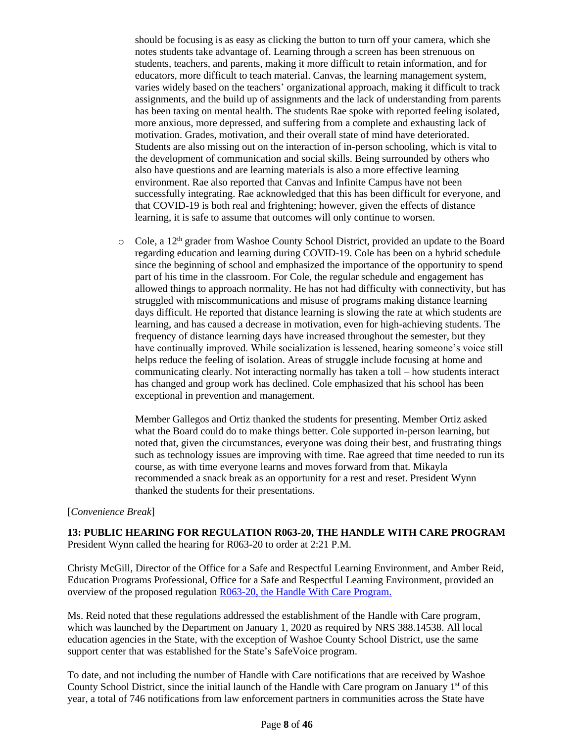should be focusing is as easy as clicking the button to turn off your camera, which she notes students take advantage of. Learning through a screen has been strenuous on students, teachers, and parents, making it more difficult to retain information, and for educators, more difficult to teach material. Canvas, the learning management system, varies widely based on the teachers' organizational approach, making it difficult to track assignments, and the build up of assignments and the lack of understanding from parents has been taxing on mental health. The students Rae spoke with reported feeling isolated, more anxious, more depressed, and suffering from a complete and exhausting lack of motivation. Grades, motivation, and their overall state of mind have deteriorated. Students are also missing out on the interaction of in-person schooling, which is vital to the development of communication and social skills. Being surrounded by others who also have questions and are learning materials is also a more effective learning environment. Rae also reported that Canvas and Infinite Campus have not been successfully integrating. Rae acknowledged that this has been difficult for everyone, and that COVID-19 is both real and frightening; however, given the effects of distance learning, it is safe to assume that outcomes will only continue to worsen.

o Cole, a 12<sup>th</sup> grader from Washoe County School District, provided an update to the Board regarding education and learning during COVID-19. Cole has been on a hybrid schedule since the beginning of school and emphasized the importance of the opportunity to spend part of his time in the classroom. For Cole, the regular schedule and engagement has allowed things to approach normality. He has not had difficulty with connectivity, but has struggled with miscommunications and misuse of programs making distance learning days difficult. He reported that distance learning is slowing the rate at which students are learning, and has caused a decrease in motivation, even for high-achieving students. The frequency of distance learning days have increased throughout the semester, but they have continually improved. While socialization is lessened, hearing someone's voice still helps reduce the feeling of isolation. Areas of struggle include focusing at home and communicating clearly. Not interacting normally has taken a toll – how students interact has changed and group work has declined. Cole emphasized that his school has been exceptional in prevention and management.

Member Gallegos and Ortiz thanked the students for presenting. Member Ortiz asked what the Board could do to make things better. Cole supported in-person learning, but noted that, given the circumstances, everyone was doing their best, and frustrating things such as technology issues are improving with time. Rae agreed that time needed to run its course, as with time everyone learns and moves forward from that. Mikayla recommended a snack break as an opportunity for a rest and reset. President Wynn thanked the students for their presentations.

#### [*Convenience Break*]

**13: PUBLIC HEARING FOR REGULATION R063-20, THE HANDLE WITH CARE PROGRAM** President Wynn called the hearing for R063-20 to order at 2:21 P.M.

Christy McGill, Director of the Office for a Safe and Respectful Learning Environment, and Amber Reid, Education Programs Professional, Office for a Safe and Respectful Learning Environment, provided an overview of the proposed regulation [R063-20, the Handle With Care Program.](http://www.doe.nv.gov/uploadedFiles/ndedoenvgov/content/Boards_Commissions_Councils/State_Board_of_Education/2020/November/Public_Notice_11-12-20_NDE_OSRLE_HWC.pdf)

Ms. Reid noted that these regulations addressed the establishment of the Handle with Care program, which was launched by the Department on January 1, 2020 as required by NRS 388.14538. All local education agencies in the State, with the exception of Washoe County School District, use the same support center that was established for the State's SafeVoice program.

To date, and not including the number of Handle with Care notifications that are received by Washoe County School District, since the initial launch of the Handle with Care program on January 1st of this year, a total of 746 notifications from law enforcement partners in communities across the State have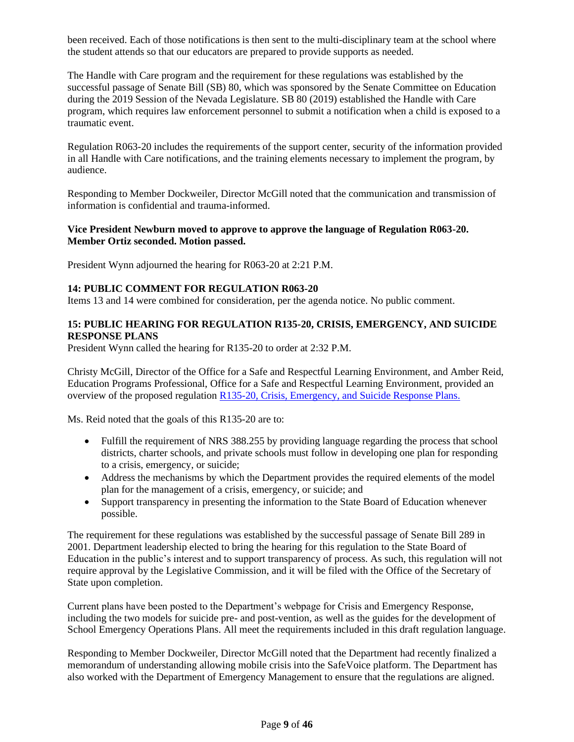been received. Each of those notifications is then sent to the multi-disciplinary team at the school where the student attends so that our educators are prepared to provide supports as needed.

The Handle with Care program and the requirement for these regulations was established by the successful passage of Senate Bill (SB) 80, which was sponsored by the Senate Committee on Education during the 2019 Session of the Nevada Legislature. SB 80 (2019) established the Handle with Care program, which requires law enforcement personnel to submit a notification when a child is exposed to a traumatic event.

Regulation R063-20 includes the requirements of the support center, security of the information provided in all Handle with Care notifications, and the training elements necessary to implement the program, by audience.

Responding to Member Dockweiler, Director McGill noted that the communication and transmission of information is confidential and trauma-informed.

#### **Vice President Newburn moved to approve to approve the language of Regulation R063-20. Member Ortiz seconded. Motion passed.**

President Wynn adjourned the hearing for R063-20 at 2:21 P.M.

## **14: PUBLIC COMMENT FOR REGULATION R063-20**

Items 13 and 14 were combined for consideration, per the agenda notice. No public comment.

## **15: PUBLIC HEARING FOR REGULATION R135-20, CRISIS, EMERGENCY, AND SUICIDE RESPONSE PLANS**

President Wynn called the hearing for R135-20 to order at 2:32 P.M.

Christy McGill, Director of the Office for a Safe and Respectful Learning Environment, and Amber Reid, Education Programs Professional, Office for a Safe and Respectful Learning Environment, provided an overview of the proposed regulation [R135-20, Crisis, Emergency, and Suicide Response Plans.](http://www.doe.nv.gov/uploadedFiles/ndedoenvgov/content/Boards_Commissions_Councils/State_Board_of_Education/2020/November/Public_Notice_11-12-20_NDE_OSRLE_CESR.pdf)

Ms. Reid noted that the goals of this R135-20 are to:

- Fulfill the requirement of NRS 388.255 by providing language regarding the process that school districts, charter schools, and private schools must follow in developing one plan for responding to a crisis, emergency, or suicide;
- Address the mechanisms by which the Department provides the required elements of the model plan for the management of a crisis, emergency, or suicide; and
- Support transparency in presenting the information to the State Board of Education whenever possible.

The requirement for these regulations was established by the successful passage of Senate Bill 289 in 2001. Department leadership elected to bring the hearing for this regulation to the State Board of Education in the public's interest and to support transparency of process. As such, this regulation will not require approval by the Legislative Commission, and it will be filed with the Office of the Secretary of State upon completion.

Current plans have been posted to the Department's webpage for Crisis and Emergency Response, including the two models for suicide pre- and post-vention, as well as the guides for the development of School Emergency Operations Plans. All meet the requirements included in this draft regulation language.

Responding to Member Dockweiler, Director McGill noted that the Department had recently finalized a memorandum of understanding allowing mobile crisis into the SafeVoice platform. The Department has also worked with the Department of Emergency Management to ensure that the regulations are aligned.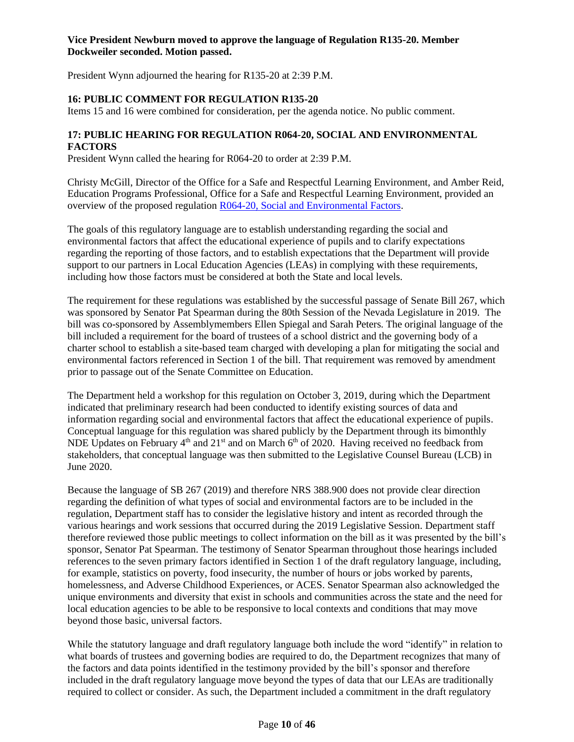### **Vice President Newburn moved to approve the language of Regulation R135-20. Member Dockweiler seconded. Motion passed.**

President Wynn adjourned the hearing for R135-20 at 2:39 P.M.

# **16: PUBLIC COMMENT FOR REGULATION R135-20**

Items 15 and 16 were combined for consideration, per the agenda notice. No public comment.

## **17: PUBLIC HEARING FOR REGULATION R064-20, SOCIAL AND ENVIRONMENTAL FACTORS**

President Wynn called the hearing for R064-20 to order at 2:39 P.M.

Christy McGill, Director of the Office for a Safe and Respectful Learning Environment, and Amber Reid, Education Programs Professional, Office for a Safe and Respectful Learning Environment, provided an overview of the proposed regulation [R064-20, Social and Environmental Factors.](http://www.doe.nv.gov/uploadedFiles/ndedoenvgov/content/Boards_Commissions_Councils/State_Board_of_Education/2020/November/Public_Notice_11-12-20_NDE_OSRLE_SEF.pdf)

The goals of this regulatory language are to establish understanding regarding the social and environmental factors that affect the educational experience of pupils and to clarify expectations regarding the reporting of those factors, and to establish expectations that the Department will provide support to our partners in Local Education Agencies (LEAs) in complying with these requirements, including how those factors must be considered at both the State and local levels.

The requirement for these regulations was established by the successful passage of Senate Bill 267, which was sponsored by Senator Pat Spearman during the 80th Session of the Nevada Legislature in 2019. The bill was co-sponsored by Assemblymembers Ellen Spiegal and Sarah Peters. The original language of the bill included a requirement for the board of trustees of a school district and the governing body of a charter school to establish a site-based team charged with developing a plan for mitigating the social and environmental factors referenced in Section 1 of the bill. That requirement was removed by amendment prior to passage out of the Senate Committee on Education.

The Department held a workshop for this regulation on October 3, 2019, during which the Department indicated that preliminary research had been conducted to identify existing sources of data and information regarding social and environmental factors that affect the educational experience of pupils. Conceptual language for this regulation was shared publicly by the Department through its bimonthly NDE Updates on February  $4<sup>th</sup>$  and  $21<sup>st</sup>$  and on March 6<sup>th</sup> of 2020. Having received no feedback from stakeholders, that conceptual language was then submitted to the Legislative Counsel Bureau (LCB) in June 2020.

Because the language of SB 267 (2019) and therefore NRS 388.900 does not provide clear direction regarding the definition of what types of social and environmental factors are to be included in the regulation, Department staff has to consider the legislative history and intent as recorded through the various hearings and work sessions that occurred during the 2019 Legislative Session. Department staff therefore reviewed those public meetings to collect information on the bill as it was presented by the bill's sponsor, Senator Pat Spearman. The testimony of Senator Spearman throughout those hearings included references to the seven primary factors identified in Section 1 of the draft regulatory language, including, for example, statistics on poverty, food insecurity, the number of hours or jobs worked by parents, homelessness, and Adverse Childhood Experiences, or ACES. Senator Spearman also acknowledged the unique environments and diversity that exist in schools and communities across the state and the need for local education agencies to be able to be responsive to local contexts and conditions that may move beyond those basic, universal factors.

While the statutory language and draft regulatory language both include the word "identify" in relation to what boards of trustees and governing bodies are required to do, the Department recognizes that many of the factors and data points identified in the testimony provided by the bill's sponsor and therefore included in the draft regulatory language move beyond the types of data that our LEAs are traditionally required to collect or consider. As such, the Department included a commitment in the draft regulatory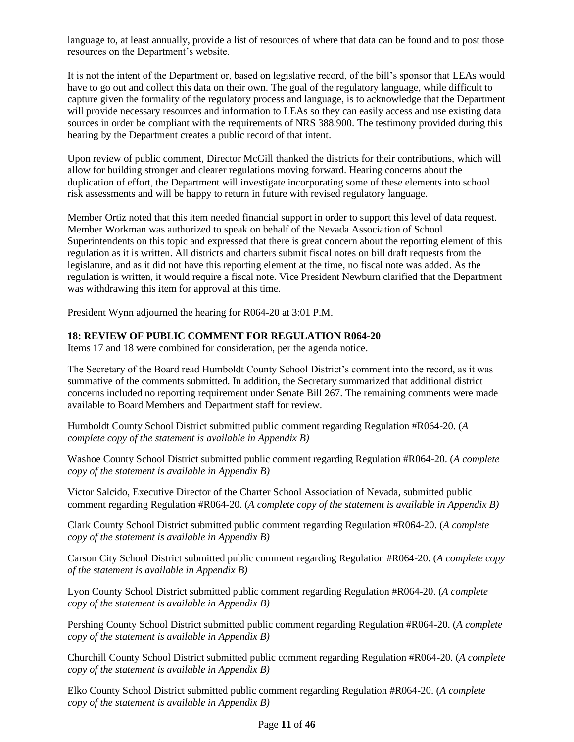language to, at least annually, provide a list of resources of where that data can be found and to post those resources on the Department's website.

It is not the intent of the Department or, based on legislative record, of the bill's sponsor that LEAs would have to go out and collect this data on their own. The goal of the regulatory language, while difficult to capture given the formality of the regulatory process and language, is to acknowledge that the Department will provide necessary resources and information to LEAs so they can easily access and use existing data sources in order be compliant with the requirements of NRS 388.900. The testimony provided during this hearing by the Department creates a public record of that intent.

Upon review of public comment, Director McGill thanked the districts for their contributions, which will allow for building stronger and clearer regulations moving forward. Hearing concerns about the duplication of effort, the Department will investigate incorporating some of these elements into school risk assessments and will be happy to return in future with revised regulatory language.

Member Ortiz noted that this item needed financial support in order to support this level of data request. Member Workman was authorized to speak on behalf of the Nevada Association of School Superintendents on this topic and expressed that there is great concern about the reporting element of this regulation as it is written. All districts and charters submit fiscal notes on bill draft requests from the legislature, and as it did not have this reporting element at the time, no fiscal note was added. As the regulation is written, it would require a fiscal note. Vice President Newburn clarified that the Department was withdrawing this item for approval at this time.

President Wynn adjourned the hearing for R064-20 at 3:01 P.M.

# **18: REVIEW OF PUBLIC COMMENT FOR REGULATION R064-20**

Items 17 and 18 were combined for consideration, per the agenda notice.

The Secretary of the Board read Humboldt County School District's comment into the record, as it was summative of the comments submitted. In addition, the Secretary summarized that additional district concerns included no reporting requirement under Senate Bill 267. The remaining comments were made available to Board Members and Department staff for review.

Humboldt County School District submitted public comment regarding Regulation #R064-20. (*A complete copy of the statement is available in Appendix B)*

Washoe County School District submitted public comment regarding Regulation #R064-20. (*A complete copy of the statement is available in Appendix B)*

Victor Salcido, Executive Director of the Charter School Association of Nevada, submitted public comment regarding Regulation #R064-20. (*A complete copy of the statement is available in Appendix B)*

Clark County School District submitted public comment regarding Regulation #R064-20. (*A complete copy of the statement is available in Appendix B)*

Carson City School District submitted public comment regarding Regulation #R064-20. (*A complete copy of the statement is available in Appendix B)*

Lyon County School District submitted public comment regarding Regulation #R064-20. (*A complete copy of the statement is available in Appendix B)*

Pershing County School District submitted public comment regarding Regulation #R064-20. (*A complete copy of the statement is available in Appendix B)*

Churchill County School District submitted public comment regarding Regulation #R064-20. (*A complete copy of the statement is available in Appendix B)*

Elko County School District submitted public comment regarding Regulation #R064-20. (*A complete copy of the statement is available in Appendix B)*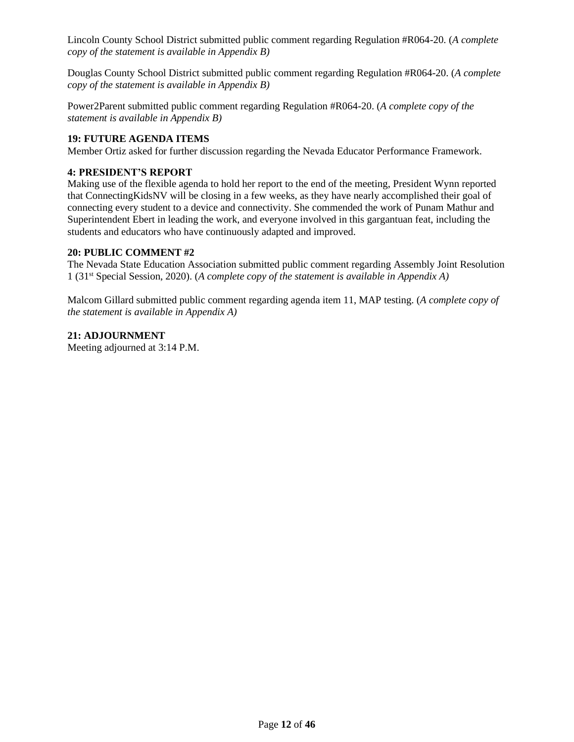Lincoln County School District submitted public comment regarding Regulation #R064-20. (*A complete copy of the statement is available in Appendix B)*

Douglas County School District submitted public comment regarding Regulation #R064-20. (*A complete copy of the statement is available in Appendix B)*

Power2Parent submitted public comment regarding Regulation #R064-20. (*A complete copy of the statement is available in Appendix B)*

# **19: FUTURE AGENDA ITEMS**

Member Ortiz asked for further discussion regarding the Nevada Educator Performance Framework.

## **4: PRESIDENT'S REPORT**

Making use of the flexible agenda to hold her report to the end of the meeting, President Wynn reported that ConnectingKidsNV will be closing in a few weeks, as they have nearly accomplished their goal of connecting every student to a device and connectivity. She commended the work of Punam Mathur and Superintendent Ebert in leading the work, and everyone involved in this gargantuan feat, including the students and educators who have continuously adapted and improved.

### **20: PUBLIC COMMENT #2**

The Nevada State Education Association submitted public comment regarding Assembly Joint Resolution 1 (31st Special Session, 2020). (*A complete copy of the statement is available in Appendix A)*

Malcom Gillard submitted public comment regarding agenda item 11, MAP testing. (*A complete copy of the statement is available in Appendix A)*

# **21: ADJOURNMENT**

Meeting adjourned at 3:14 P.M.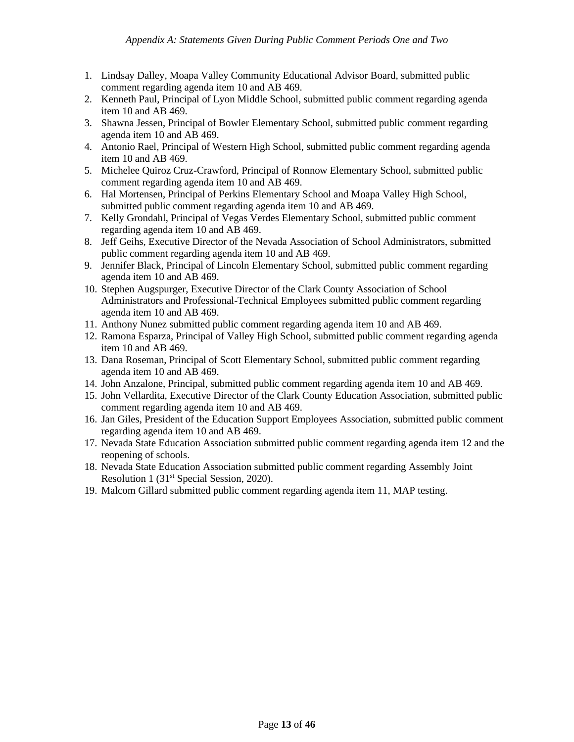- 1. Lindsay Dalley, Moapa Valley Community Educational Advisor Board, submitted public comment regarding agenda item 10 and AB 469.
- 2. Kenneth Paul, Principal of Lyon Middle School, submitted public comment regarding agenda item 10 and AB 469.
- 3. Shawna Jessen, Principal of Bowler Elementary School, submitted public comment regarding agenda item 10 and AB 469.
- 4. Antonio Rael, Principal of Western High School, submitted public comment regarding agenda item 10 and AB 469.
- 5. Michelee Quiroz Cruz-Crawford, Principal of Ronnow Elementary School, submitted public comment regarding agenda item 10 and AB 469.
- 6. Hal Mortensen, Principal of Perkins Elementary School and Moapa Valley High School, submitted public comment regarding agenda item 10 and AB 469.
- 7. Kelly Grondahl, Principal of Vegas Verdes Elementary School, submitted public comment regarding agenda item 10 and AB 469.
- 8. Jeff Geihs, Executive Director of the Nevada Association of School Administrators, submitted public comment regarding agenda item 10 and AB 469.
- 9. Jennifer Black, Principal of Lincoln Elementary School, submitted public comment regarding agenda item 10 and AB 469.
- 10. Stephen Augspurger, Executive Director of the Clark County Association of School Administrators and Professional-Technical Employees submitted public comment regarding agenda item 10 and AB 469.
- 11. Anthony Nunez submitted public comment regarding agenda item 10 and AB 469.
- 12. Ramona Esparza, Principal of Valley High School, submitted public comment regarding agenda item 10 and AB 469.
- 13. Dana Roseman, Principal of Scott Elementary School, submitted public comment regarding agenda item 10 and AB 469.
- 14. John Anzalone, Principal, submitted public comment regarding agenda item 10 and AB 469.
- 15. John Vellardita, Executive Director of the Clark County Education Association, submitted public comment regarding agenda item 10 and AB 469.
- 16. Jan Giles, President of the Education Support Employees Association, submitted public comment regarding agenda item 10 and AB 469.
- 17. Nevada State Education Association submitted public comment regarding agenda item 12 and the reopening of schools.
- 18. Nevada State Education Association submitted public comment regarding Assembly Joint Resolution 1 (31<sup>st</sup> Special Session, 2020).
- 19. Malcom Gillard submitted public comment regarding agenda item 11, MAP testing.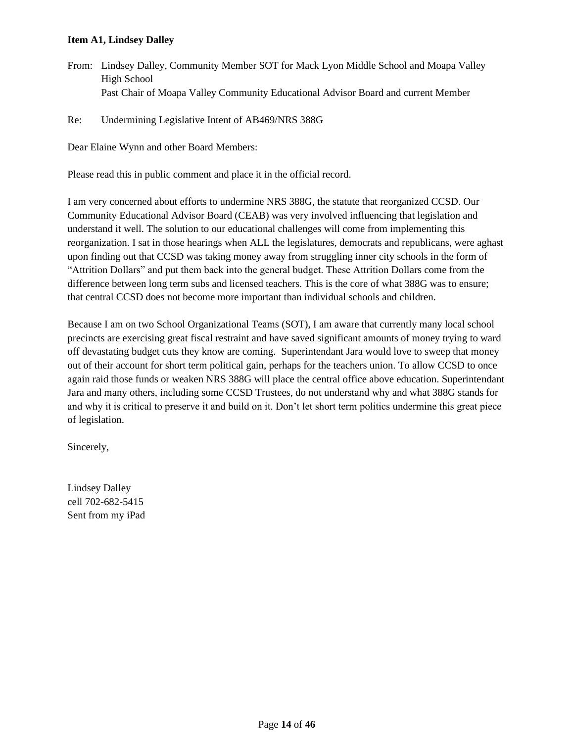## **Item A1, Lindsey Dalley**

From: Lindsey Dalley, Community Member SOT for Mack Lyon Middle School and Moapa Valley High School Past Chair of Moapa Valley Community Educational Advisor Board and current Member

Re: Undermining Legislative Intent of AB469/NRS 388G

Dear Elaine Wynn and other Board Members:

Please read this in public comment and place it in the official record.

I am very concerned about efforts to undermine NRS 388G, the statute that reorganized CCSD. Our Community Educational Advisor Board (CEAB) was very involved influencing that legislation and understand it well. The solution to our educational challenges will come from implementing this reorganization. I sat in those hearings when ALL the legislatures, democrats and republicans, were aghast upon finding out that CCSD was taking money away from struggling inner city schools in the form of "Attrition Dollars" and put them back into the general budget. These Attrition Dollars come from the difference between long term subs and licensed teachers. This is the core of what 388G was to ensure; that central CCSD does not become more important than individual schools and children.

Because I am on two School Organizational Teams (SOT), I am aware that currently many local school precincts are exercising great fiscal restraint and have saved significant amounts of money trying to ward off devastating budget cuts they know are coming. Superintendant Jara would love to sweep that money out of their account for short term political gain, perhaps for the teachers union. To allow CCSD to once again raid those funds or weaken NRS 388G will place the central office above education. Superintendant Jara and many others, including some CCSD Trustees, do not understand why and what 388G stands for and why it is critical to preserve it and build on it. Don't let short term politics undermine this great piece of legislation.

Sincerely,

Lindsey Dalley cell 702-682-5415 Sent from my iPad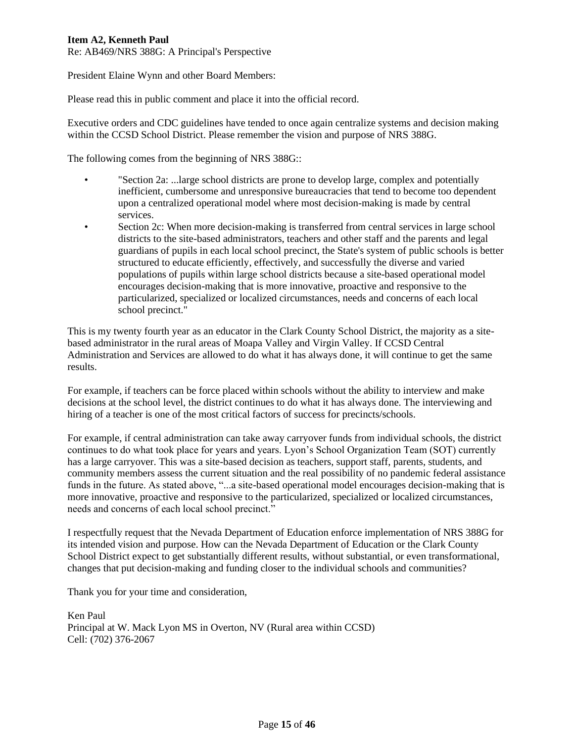# **Item A2, Kenneth Paul**

Re: AB469/NRS 388G: A Principal's Perspective

President Elaine Wynn and other Board Members:

Please read this in public comment and place it into the official record.

Executive orders and CDC guidelines have tended to once again centralize systems and decision making within the CCSD School District. Please remember the vision and purpose of NRS 388G.

The following comes from the beginning of NRS 388G::

- "Section 2a: ...large school districts are prone to develop large, complex and potentially inefficient, cumbersome and unresponsive bureaucracies that tend to become too dependent upon a centralized operational model where most decision-making is made by central services.
	- Section 2c: When more decision-making is transferred from central services in large school districts to the site-based administrators, teachers and other staff and the parents and legal guardians of pupils in each local school precinct, the State's system of public schools is better structured to educate efficiently, effectively, and successfully the diverse and varied populations of pupils within large school districts because a site-based operational model encourages decision-making that is more innovative, proactive and responsive to the particularized, specialized or localized circumstances, needs and concerns of each local school precinct."

This is my twenty fourth year as an educator in the Clark County School District, the majority as a sitebased administrator in the rural areas of Moapa Valley and Virgin Valley. If CCSD Central Administration and Services are allowed to do what it has always done, it will continue to get the same results.

For example, if teachers can be force placed within schools without the ability to interview and make decisions at the school level, the district continues to do what it has always done. The interviewing and hiring of a teacher is one of the most critical factors of success for precincts/schools.

For example, if central administration can take away carryover funds from individual schools, the district continues to do what took place for years and years. Lyon's School Organization Team (SOT) currently has a large carryover. This was a site-based decision as teachers, support staff, parents, students, and community members assess the current situation and the real possibility of no pandemic federal assistance funds in the future. As stated above, "...a site-based operational model encourages decision-making that is more innovative, proactive and responsive to the particularized, specialized or localized circumstances, needs and concerns of each local school precinct."

I respectfully request that the Nevada Department of Education enforce implementation of NRS 388G for its intended vision and purpose. How can the Nevada Department of Education or the Clark County School District expect to get substantially different results, without substantial, or even transformational, changes that put decision-making and funding closer to the individual schools and communities?

Thank you for your time and consideration,

Ken Paul Principal at W. Mack Lyon MS in Overton, NV (Rural area within CCSD) Cell: (702) 376-2067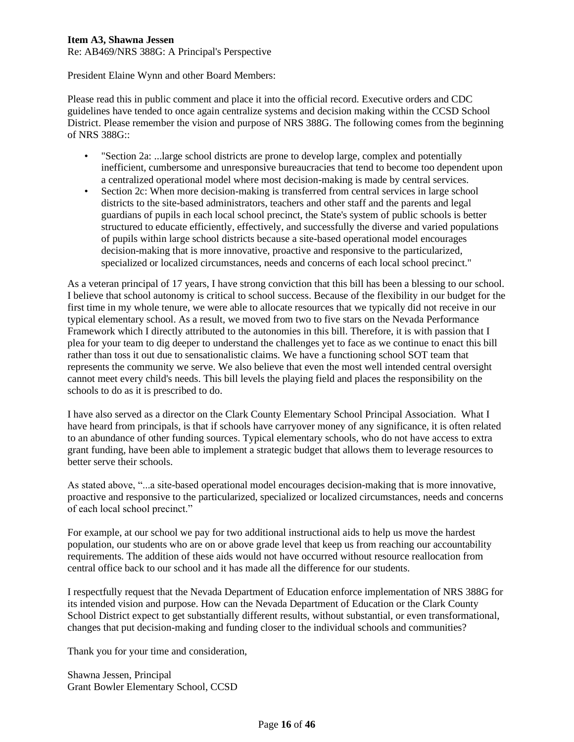## **Item A3, Shawna Jessen**

Re: AB469/NRS 388G: A Principal's Perspective

President Elaine Wynn and other Board Members:

Please read this in public comment and place it into the official record. Executive orders and CDC guidelines have tended to once again centralize systems and decision making within the CCSD School District. Please remember the vision and purpose of NRS 388G. The following comes from the beginning of NRS 388G::

- "Section 2a: ...large school districts are prone to develop large, complex and potentially inefficient, cumbersome and unresponsive bureaucracies that tend to become too dependent upon a centralized operational model where most decision-making is made by central services.
- Section 2c: When more decision-making is transferred from central services in large school districts to the site-based administrators, teachers and other staff and the parents and legal guardians of pupils in each local school precinct, the State's system of public schools is better structured to educate efficiently, effectively, and successfully the diverse and varied populations of pupils within large school districts because a site-based operational model encourages decision-making that is more innovative, proactive and responsive to the particularized, specialized or localized circumstances, needs and concerns of each local school precinct."

As a veteran principal of 17 years, I have strong conviction that this bill has been a blessing to our school. I believe that school autonomy is critical to school success. Because of the flexibility in our budget for the first time in my whole tenure, we were able to allocate resources that we typically did not receive in our typical elementary school. As a result, we moved from two to five stars on the Nevada Performance Framework which I directly attributed to the autonomies in this bill. Therefore, it is with passion that I plea for your team to dig deeper to understand the challenges yet to face as we continue to enact this bill rather than toss it out due to sensationalistic claims. We have a functioning school SOT team that represents the community we serve. We also believe that even the most well intended central oversight cannot meet every child's needs. This bill levels the playing field and places the responsibility on the schools to do as it is prescribed to do.

I have also served as a director on the Clark County Elementary School Principal Association. What I have heard from principals, is that if schools have carryover money of any significance, it is often related to an abundance of other funding sources. Typical elementary schools, who do not have access to extra grant funding, have been able to implement a strategic budget that allows them to leverage resources to better serve their schools.

As stated above, "...a site-based operational model encourages decision-making that is more innovative, proactive and responsive to the particularized, specialized or localized circumstances, needs and concerns of each local school precinct."

For example, at our school we pay for two additional instructional aids to help us move the hardest population, our students who are on or above grade level that keep us from reaching our accountability requirements. The addition of these aids would not have occurred without resource reallocation from central office back to our school and it has made all the difference for our students.

I respectfully request that the Nevada Department of Education enforce implementation of NRS 388G for its intended vision and purpose. How can the Nevada Department of Education or the Clark County School District expect to get substantially different results, without substantial, or even transformational, changes that put decision-making and funding closer to the individual schools and communities?

Thank you for your time and consideration,

Shawna Jessen, Principal Grant Bowler Elementary School, CCSD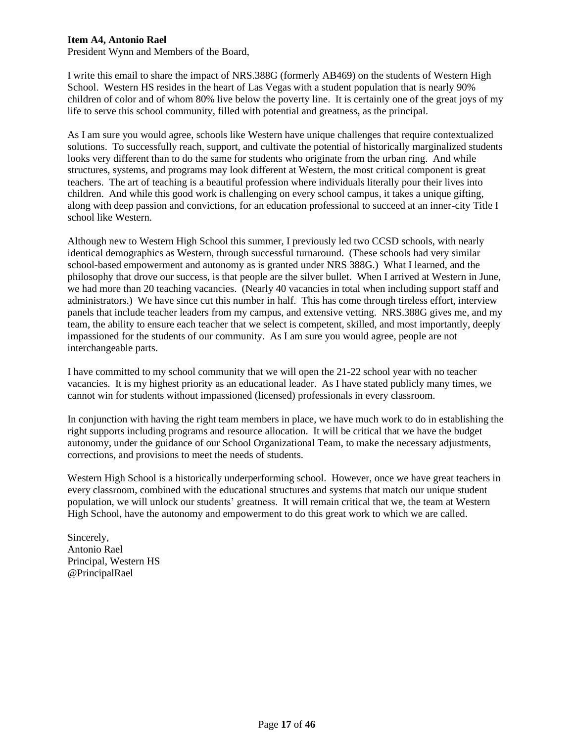### **Item A4, Antonio Rael**

President Wynn and Members of the Board,

I write this email to share the impact of NRS.388G (formerly AB469) on the students of Western High School. Western HS resides in the heart of Las Vegas with a student population that is nearly 90% children of color and of whom 80% live below the poverty line. It is certainly one of the great joys of my life to serve this school community, filled with potential and greatness, as the principal.

As I am sure you would agree, schools like Western have unique challenges that require contextualized solutions. To successfully reach, support, and cultivate the potential of historically marginalized students looks very different than to do the same for students who originate from the urban ring. And while structures, systems, and programs may look different at Western, the most critical component is great teachers. The art of teaching is a beautiful profession where individuals literally pour their lives into children. And while this good work is challenging on every school campus, it takes a unique gifting, along with deep passion and convictions, for an education professional to succeed at an inner-city Title I school like Western.

Although new to Western High School this summer, I previously led two CCSD schools, with nearly identical demographics as Western, through successful turnaround. (These schools had very similar school-based empowerment and autonomy as is granted under NRS 388G.) What I learned, and the philosophy that drove our success, is that people are the silver bullet. When I arrived at Western in June, we had more than 20 teaching vacancies. (Nearly 40 vacancies in total when including support staff and administrators.) We have since cut this number in half. This has come through tireless effort, interview panels that include teacher leaders from my campus, and extensive vetting. NRS.388G gives me, and my team, the ability to ensure each teacher that we select is competent, skilled, and most importantly, deeply impassioned for the students of our community. As I am sure you would agree, people are not interchangeable parts.

I have committed to my school community that we will open the 21-22 school year with no teacher vacancies. It is my highest priority as an educational leader. As I have stated publicly many times, we cannot win for students without impassioned (licensed) professionals in every classroom.

In conjunction with having the right team members in place, we have much work to do in establishing the right supports including programs and resource allocation. It will be critical that we have the budget autonomy, under the guidance of our School Organizational Team, to make the necessary adjustments, corrections, and provisions to meet the needs of students.

Western High School is a historically underperforming school. However, once we have great teachers in every classroom, combined with the educational structures and systems that match our unique student population, we will unlock our students' greatness. It will remain critical that we, the team at Western High School, have the autonomy and empowerment to do this great work to which we are called.

Sincerely, Antonio Rael Principal, Western HS @PrincipalRael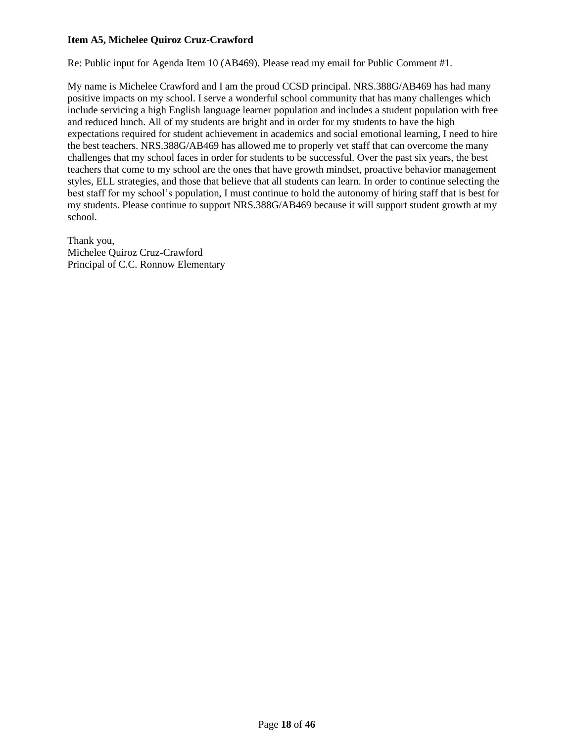# **Item A5, Michelee Quiroz Cruz-Crawford**

Re: Public input for Agenda Item 10 (AB469). Please read my email for Public Comment #1.

My name is Michelee Crawford and I am the proud CCSD principal. NRS.388G/AB469 has had many positive impacts on my school. I serve a wonderful school community that has many challenges which include servicing a high English language learner population and includes a student population with free and reduced lunch. All of my students are bright and in order for my students to have the high expectations required for student achievement in academics and social emotional learning, I need to hire the best teachers. NRS.388G/AB469 has allowed me to properly vet staff that can overcome the many challenges that my school faces in order for students to be successful. Over the past six years, the best teachers that come to my school are the ones that have growth mindset, proactive behavior management styles, ELL strategies, and those that believe that all students can learn. In order to continue selecting the best staff for my school's population, I must continue to hold the autonomy of hiring staff that is best for my students. Please continue to support NRS.388G/AB469 because it will support student growth at my school.

Thank you, Michelee Quiroz Cruz-Crawford Principal of C.C. Ronnow Elementary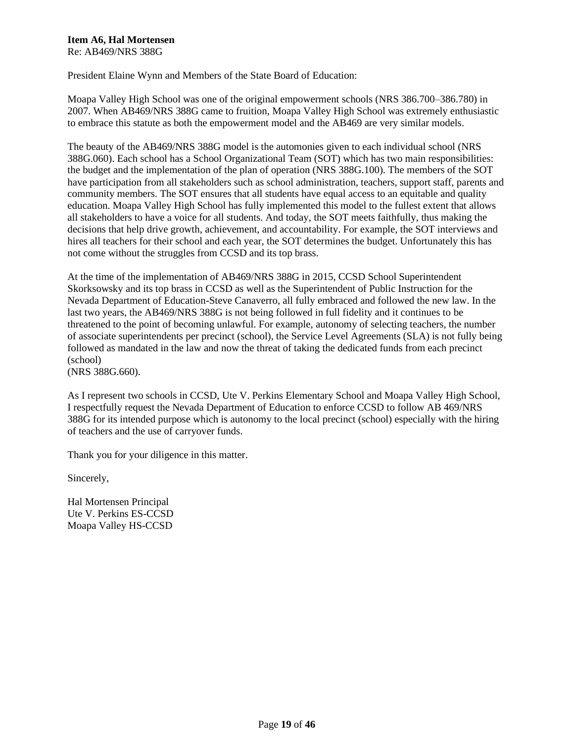#### **Item A6, Hal Mortensen** Re: AB469/NRS 388G

President Elaine Wynn and Members of the State Board of Education:

Moapa Valley High School was one of the original empowerment schools (NRS 386.700–386.780) in 2007. When AB469/NRS 388G came to fruition, Moapa Valley High School was extremely enthusiastic to embrace this statute as both the empowerment model and the AB469 are very similar models.

The beauty of the AB469/NRS 388G model is the automonies given to each individual school (NRS 388G.060). Each school has a School Organizational Team (SOT) which has two main responsibilities: the budget and the implementation of the plan of operation (NRS 388G.100). The members of the SOT have participation from all stakeholders such as school administration, teachers, support staff, parents and community members. The SOT ensures that all students have equal access to an equitable and quality education. Moapa Valley High School has fully implemented this model to the fullest extent that allows all stakeholders to have a voice for all students. And today, the SOT meets faithfully, thus making the decisions that help drive growth, achievement, and accountability. For example, the SOT interviews and hires all teachers for their school and each year, the SOT determines the budget. Unfortunately this has not come without the struggles from CCSD and its top brass.

At the time of the implementation of AB469/NRS 388G in 2015, CCSD School Superintendent Skorksowsky and its top brass in CCSD as well as the Superintendent of Public Instruction for the Nevada Department of Education-Steve Canaverro, all fully embraced and followed the new law. In the last two years, the AB469/NRS 388G is not being followed in full fidelity and it continues to be threatened to the point of becoming unlawful. For example, autonomy of selecting teachers, the number of associate superintendents per precinct (school), the Service Level Agreements (SLA) is not fully being followed as mandated in the law and now the threat of taking the dedicated funds from each precinct (school)

(NRS 388G.660).

As I represent two schools in CCSD, Ute V. Perkins Elementary School and Moapa Valley High School, I respectfully request the Nevada Department of Education to enforce CCSD to follow AB 469/NRS 388G for its intended purpose which is autonomy to the local precinct (school) especially with the hiring of teachers and the use of carryover funds.

Thank you for your diligence in this matter.

Sincerely,

Hal Mortensen Principal Ute V. Perkins ES-CCSD Moapa Valley HS-CCSD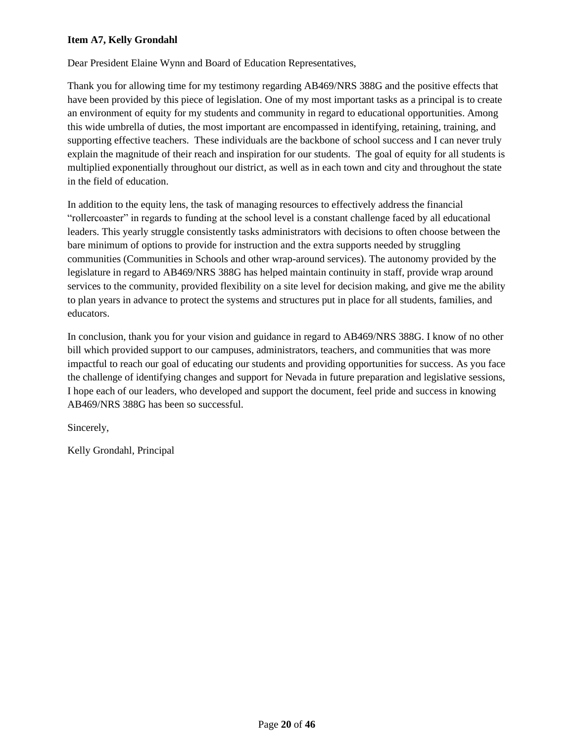# **Item A7, Kelly Grondahl**

Dear President Elaine Wynn and Board of Education Representatives,

Thank you for allowing time for my testimony regarding AB469/NRS 388G and the positive effects that have been provided by this piece of legislation. One of my most important tasks as a principal is to create an environment of equity for my students and community in regard to educational opportunities. Among this wide umbrella of duties, the most important are encompassed in identifying, retaining, training, and supporting effective teachers. These individuals are the backbone of school success and I can never truly explain the magnitude of their reach and inspiration for our students. The goal of equity for all students is multiplied exponentially throughout our district, as well as in each town and city and throughout the state in the field of education.

In addition to the equity lens, the task of managing resources to effectively address the financial "rollercoaster" in regards to funding at the school level is a constant challenge faced by all educational leaders. This yearly struggle consistently tasks administrators with decisions to often choose between the bare minimum of options to provide for instruction and the extra supports needed by struggling communities (Communities in Schools and other wrap-around services). The autonomy provided by the legislature in regard to AB469/NRS 388G has helped maintain continuity in staff, provide wrap around services to the community, provided flexibility on a site level for decision making, and give me the ability to plan years in advance to protect the systems and structures put in place for all students, families, and educators.

In conclusion, thank you for your vision and guidance in regard to AB469/NRS 388G. I know of no other bill which provided support to our campuses, administrators, teachers, and communities that was more impactful to reach our goal of educating our students and providing opportunities for success. As you face the challenge of identifying changes and support for Nevada in future preparation and legislative sessions, I hope each of our leaders, who developed and support the document, feel pride and success in knowing AB469/NRS 388G has been so successful.

Sincerely,

Kelly Grondahl, Principal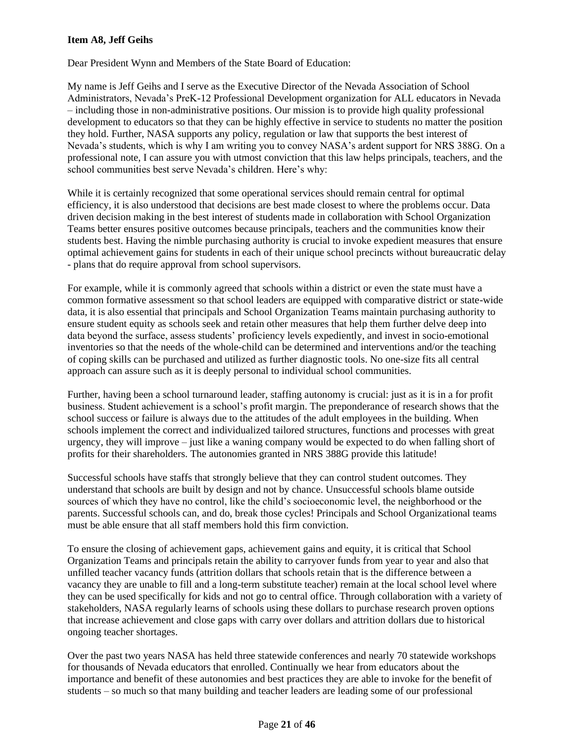## **Item A8, Jeff Geihs**

Dear President Wynn and Members of the State Board of Education:

My name is Jeff Geihs and I serve as the Executive Director of the Nevada Association of School Administrators, Nevada's PreK-12 Professional Development organization for ALL educators in Nevada – including those in non-administrative positions. Our mission is to provide high quality professional development to educators so that they can be highly effective in service to students no matter the position they hold. Further, NASA supports any policy, regulation or law that supports the best interest of Nevada's students, which is why I am writing you to convey NASA's ardent support for NRS 388G. On a professional note, I can assure you with utmost conviction that this law helps principals, teachers, and the school communities best serve Nevada's children. Here's why:

While it is certainly recognized that some operational services should remain central for optimal efficiency, it is also understood that decisions are best made closest to where the problems occur. Data driven decision making in the best interest of students made in collaboration with School Organization Teams better ensures positive outcomes because principals, teachers and the communities know their students best. Having the nimble purchasing authority is crucial to invoke expedient measures that ensure optimal achievement gains for students in each of their unique school precincts without bureaucratic delay - plans that do require approval from school supervisors.

For example, while it is commonly agreed that schools within a district or even the state must have a common formative assessment so that school leaders are equipped with comparative district or state-wide data, it is also essential that principals and School Organization Teams maintain purchasing authority to ensure student equity as schools seek and retain other measures that help them further delve deep into data beyond the surface, assess students' proficiency levels expediently, and invest in socio-emotional inventories so that the needs of the whole-child can be determined and interventions and/or the teaching of coping skills can be purchased and utilized as further diagnostic tools. No one-size fits all central approach can assure such as it is deeply personal to individual school communities.

Further, having been a school turnaround leader, staffing autonomy is crucial: just as it is in a for profit business. Student achievement is a school's profit margin. The preponderance of research shows that the school success or failure is always due to the attitudes of the adult employees in the building. When schools implement the correct and individualized tailored structures, functions and processes with great urgency, they will improve – just like a waning company would be expected to do when falling short of profits for their shareholders. The autonomies granted in NRS 388G provide this latitude!

Successful schools have staffs that strongly believe that they can control student outcomes. They understand that schools are built by design and not by chance. Unsuccessful schools blame outside sources of which they have no control, like the child's socioeconomic level, the neighborhood or the parents. Successful schools can, and do, break those cycles! Principals and School Organizational teams must be able ensure that all staff members hold this firm conviction.

To ensure the closing of achievement gaps, achievement gains and equity, it is critical that School Organization Teams and principals retain the ability to carryover funds from year to year and also that unfilled teacher vacancy funds (attrition dollars that schools retain that is the difference between a vacancy they are unable to fill and a long-term substitute teacher) remain at the local school level where they can be used specifically for kids and not go to central office. Through collaboration with a variety of stakeholders, NASA regularly learns of schools using these dollars to purchase research proven options that increase achievement and close gaps with carry over dollars and attrition dollars due to historical ongoing teacher shortages.

Over the past two years NASA has held three statewide conferences and nearly 70 statewide workshops for thousands of Nevada educators that enrolled. Continually we hear from educators about the importance and benefit of these autonomies and best practices they are able to invoke for the benefit of students – so much so that many building and teacher leaders are leading some of our professional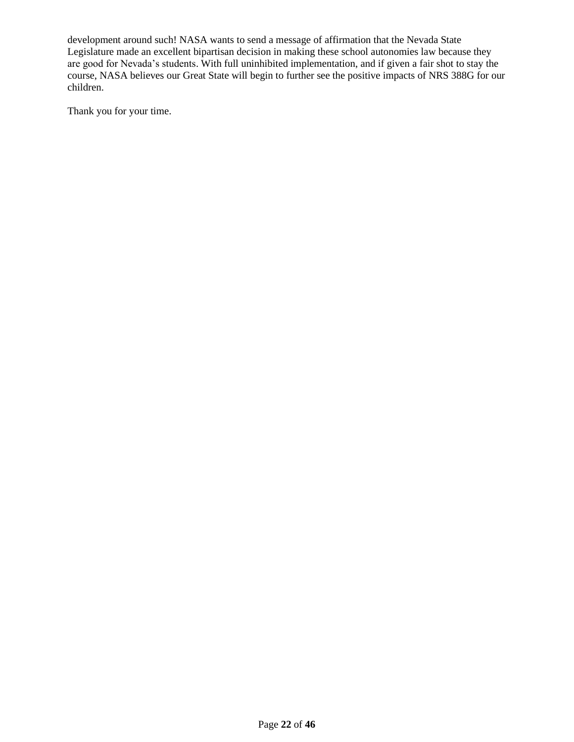development around such! NASA wants to send a message of affirmation that the Nevada State Legislature made an excellent bipartisan decision in making these school autonomies law because they are good for Nevada's students. With full uninhibited implementation, and if given a fair shot to stay the course, NASA believes our Great State will begin to further see the positive impacts of NRS 388G for our children.

Thank you for your time.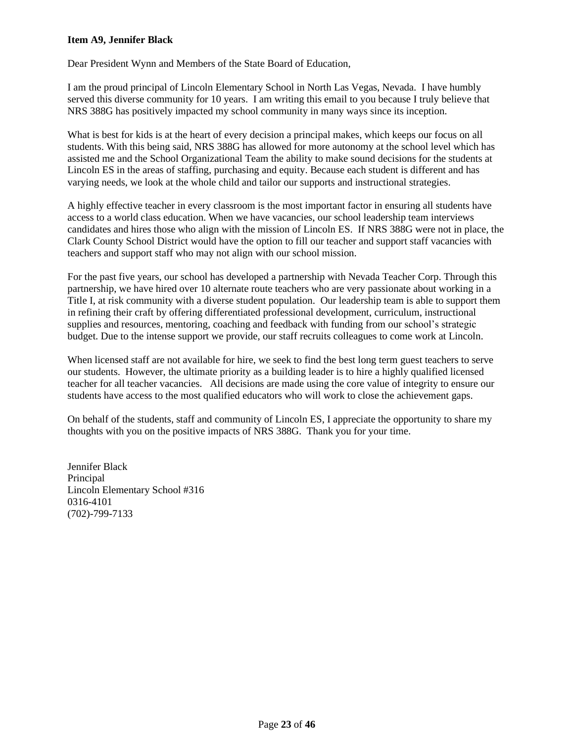### **Item A9, Jennifer Black**

Dear President Wynn and Members of the State Board of Education,

I am the proud principal of Lincoln Elementary School in North Las Vegas, Nevada. I have humbly served this diverse community for 10 years. I am writing this email to you because I truly believe that NRS 388G has positively impacted my school community in many ways since its inception.

What is best for kids is at the heart of every decision a principal makes, which keeps our focus on all students. With this being said, NRS 388G has allowed for more autonomy at the school level which has assisted me and the School Organizational Team the ability to make sound decisions for the students at Lincoln ES in the areas of staffing, purchasing and equity. Because each student is different and has varying needs, we look at the whole child and tailor our supports and instructional strategies.

A highly effective teacher in every classroom is the most important factor in ensuring all students have access to a world class education. When we have vacancies, our school leadership team interviews candidates and hires those who align with the mission of Lincoln ES. If NRS 388G were not in place, the Clark County School District would have the option to fill our teacher and support staff vacancies with teachers and support staff who may not align with our school mission.

For the past five years, our school has developed a partnership with Nevada Teacher Corp. Through this partnership, we have hired over 10 alternate route teachers who are very passionate about working in a Title I, at risk community with a diverse student population. Our leadership team is able to support them in refining their craft by offering differentiated professional development, curriculum, instructional supplies and resources, mentoring, coaching and feedback with funding from our school's strategic budget. Due to the intense support we provide, our staff recruits colleagues to come work at Lincoln.

When licensed staff are not available for hire, we seek to find the best long term guest teachers to serve our students. However, the ultimate priority as a building leader is to hire a highly qualified licensed teacher for all teacher vacancies. All decisions are made using the core value of integrity to ensure our students have access to the most qualified educators who will work to close the achievement gaps.

On behalf of the students, staff and community of Lincoln ES, I appreciate the opportunity to share my thoughts with you on the positive impacts of NRS 388G. Thank you for your time.

Jennifer Black Principal Lincoln Elementary School #316 0316-4101 (702)-799-7133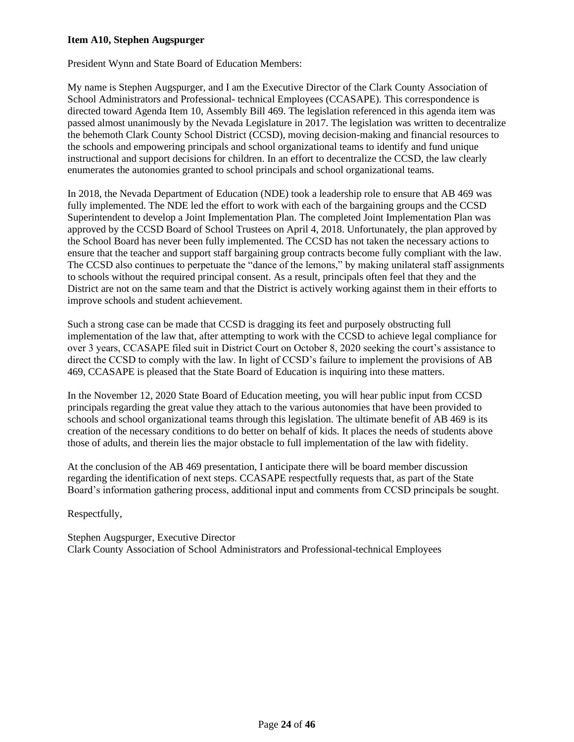### **Item A10, Stephen Augspurger**

President Wynn and State Board of Education Members:

My name is Stephen Augspurger, and I am the Executive Director of the Clark County Association of School Administrators and Professional- technical Employees (CCASAPE). This correspondence is directed toward Agenda Item 10, Assembly Bill 469. The legislation referenced in this agenda item was passed almost unanimously by the Nevada Legislature in 2017. The legislation was written to decentralize the behemoth Clark County School District (CCSD), moving decision-making and financial resources to the schools and empowering principals and school organizational teams to identify and fund unique instructional and support decisions for children. In an effort to decentralize the CCSD, the law clearly enumerates the autonomies granted to school principals and school organizational teams.

In 2018, the Nevada Department of Education (NDE) took a leadership role to ensure that AB 469 was fully implemented. The NDE led the effort to work with each of the bargaining groups and the CCSD Superintendent to develop a Joint Implementation Plan. The completed Joint Implementation Plan was approved by the CCSD Board of School Trustees on April 4, 2018. Unfortunately, the plan approved by the School Board has never been fully implemented. The CCSD has not taken the necessary actions to ensure that the teacher and support staff bargaining group contracts become fully compliant with the law. The CCSD also continues to perpetuate the "dance of the lemons," by making unilateral staff assignments to schools without the required principal consent. As a result, principals often feel that they and the District are not on the same team and that the District is actively working against them in their efforts to improve schools and student achievement.

Such a strong case can be made that CCSD is dragging its feet and purposely obstructing full implementation of the law that, after attempting to work with the CCSD to achieve legal compliance for over 3 years, CCASAPE filed suit in District Court on October 8, 2020 seeking the court's assistance to direct the CCSD to comply with the law. In light of CCSD's failure to implement the provisions of AB 469, CCASAPE is pleased that the State Board of Education is inquiring into these matters.

In the November 12, 2020 State Board of Education meeting, you will hear public input from CCSD principals regarding the great value they attach to the various autonomies that have been provided to schools and school organizational teams through this legislation. The ultimate benefit of AB 469 is its creation of the necessary conditions to do better on behalf of kids. It places the needs of students above those of adults, and therein lies the major obstacle to full implementation of the law with fidelity.

At the conclusion of the AB 469 presentation, I anticipate there will be board member discussion regarding the identification of next steps. CCASAPE respectfully requests that, as part of the State Board's information gathering process, additional input and comments from CCSD principals be sought.

Respectfully,

Stephen Augspurger, Executive Director Clark County Association of School Administrators and Professional-technical Employees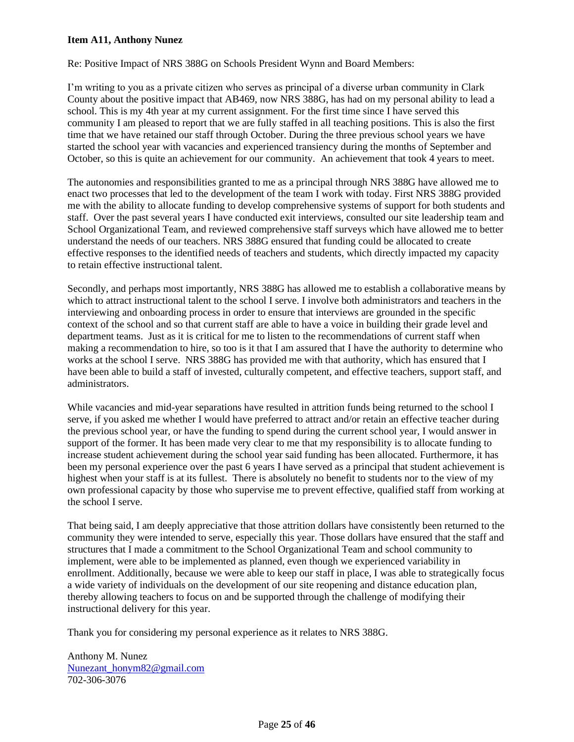### **Item A11, Anthony Nunez**

Re: Positive Impact of NRS 388G on Schools President Wynn and Board Members:

I'm writing to you as a private citizen who serves as principal of a diverse urban community in Clark County about the positive impact that AB469, now NRS 388G, has had on my personal ability to lead a school. This is my 4th year at my current assignment. For the first time since I have served this community I am pleased to report that we are fully staffed in all teaching positions. This is also the first time that we have retained our staff through October. During the three previous school years we have started the school year with vacancies and experienced transiency during the months of September and October, so this is quite an achievement for our community. An achievement that took 4 years to meet.

The autonomies and responsibilities granted to me as a principal through NRS 388G have allowed me to enact two processes that led to the development of the team I work with today. First NRS 388G provided me with the ability to allocate funding to develop comprehensive systems of support for both students and staff. Over the past several years I have conducted exit interviews, consulted our site leadership team and School Organizational Team, and reviewed comprehensive staff surveys which have allowed me to better understand the needs of our teachers. NRS 388G ensured that funding could be allocated to create effective responses to the identified needs of teachers and students, which directly impacted my capacity to retain effective instructional talent.

Secondly, and perhaps most importantly, NRS 388G has allowed me to establish a collaborative means by which to attract instructional talent to the school I serve. I involve both administrators and teachers in the interviewing and onboarding process in order to ensure that interviews are grounded in the specific context of the school and so that current staff are able to have a voice in building their grade level and department teams. Just as it is critical for me to listen to the recommendations of current staff when making a recommendation to hire, so too is it that I am assured that I have the authority to determine who works at the school I serve. NRS 388G has provided me with that authority, which has ensured that I have been able to build a staff of invested, culturally competent, and effective teachers, support staff, and administrators.

While vacancies and mid-year separations have resulted in attrition funds being returned to the school I serve, if you asked me whether I would have preferred to attract and/or retain an effective teacher during the previous school year, or have the funding to spend during the current school year, I would answer in support of the former. It has been made very clear to me that my responsibility is to allocate funding to increase student achievement during the school year said funding has been allocated. Furthermore, it has been my personal experience over the past 6 years I have served as a principal that student achievement is highest when your staff is at its fullest. There is absolutely no benefit to students nor to the view of my own professional capacity by those who supervise me to prevent effective, qualified staff from working at the school I serve.

That being said, I am deeply appreciative that those attrition dollars have consistently been returned to the community they were intended to serve, especially this year. Those dollars have ensured that the staff and structures that I made a commitment to the School Organizational Team and school community to implement, were able to be implemented as planned, even though we experienced variability in enrollment. Additionally, because we were able to keep our staff in place, I was able to strategically focus a wide variety of individuals on the development of our site reopening and distance education plan, thereby allowing teachers to focus on and be supported through the challenge of modifying their instructional delivery for this year.

Thank you for considering my personal experience as it relates to NRS 388G.

Anthony M. Nunez [Nunezant\\_honym82@gmail.com](mailto:Nunezant_honym82@gmail.com)  702-306-3076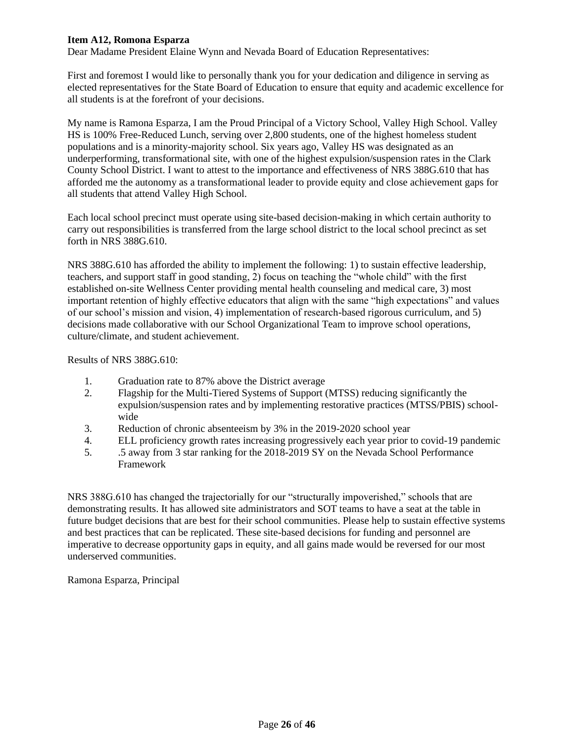### **Item A12, Romona Esparza**

Dear Madame President Elaine Wynn and Nevada Board of Education Representatives:

First and foremost I would like to personally thank you for your dedication and diligence in serving as elected representatives for the State Board of Education to ensure that equity and academic excellence for all students is at the forefront of your decisions.

My name is Ramona Esparza, I am the Proud Principal of a Victory School, Valley High School. Valley HS is 100% Free-Reduced Lunch, serving over 2,800 students, one of the highest homeless student populations and is a minority-majority school. Six years ago, Valley HS was designated as an underperforming, transformational site, with one of the highest expulsion/suspension rates in the Clark County School District. I want to attest to the importance and effectiveness of NRS 388G.610 that has afforded me the autonomy as a transformational leader to provide equity and close achievement gaps for all students that attend Valley High School.

Each local school precinct must operate using site-based decision-making in which certain authority to carry out responsibilities is transferred from the large school district to the local school precinct as set forth in NRS 388G.610.

NRS 388G.610 has afforded the ability to implement the following: 1) to sustain effective leadership, teachers, and support staff in good standing, 2) focus on teaching the "whole child" with the first established on-site Wellness Center providing mental health counseling and medical care, 3) most important retention of highly effective educators that align with the same "high expectations" and values of our school's mission and vision, 4) implementation of research-based rigorous curriculum, and 5) decisions made collaborative with our School Organizational Team to improve school operations, culture/climate, and student achievement.

Results of NRS 388G.610:

- 1. Graduation rate to 87% above the District average
- 2. Flagship for the Multi-Tiered Systems of Support (MTSS) reducing significantly the expulsion/suspension rates and by implementing restorative practices (MTSS/PBIS) schoolwide
- 3. Reduction of chronic absenteeism by 3% in the 2019-2020 school year
- 4. ELL proficiency growth rates increasing progressively each year prior to covid-19 pandemic
- 5. .5 away from 3 star ranking for the 2018-2019 SY on the Nevada School Performance Framework

NRS 388G.610 has changed the trajectorially for our "structurally impoverished," schools that are demonstrating results. It has allowed site administrators and SOT teams to have a seat at the table in future budget decisions that are best for their school communities. Please help to sustain effective systems and best practices that can be replicated. These site-based decisions for funding and personnel are imperative to decrease opportunity gaps in equity, and all gains made would be reversed for our most underserved communities.

Ramona Esparza, Principal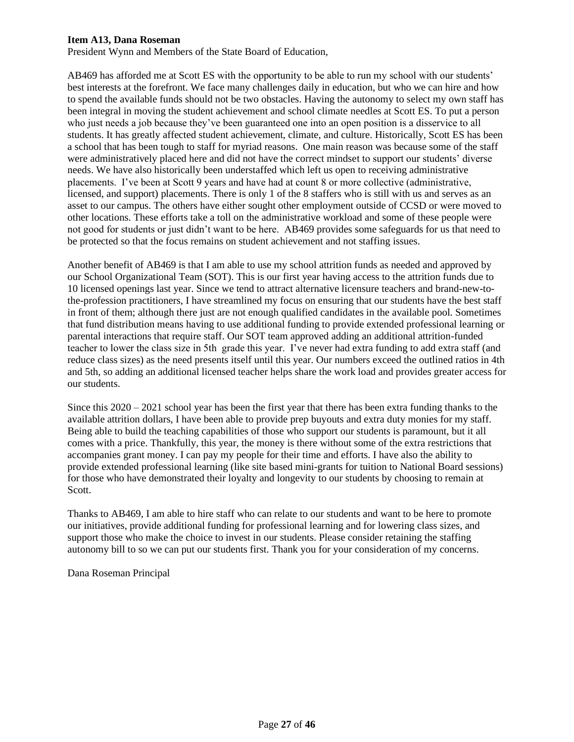#### **Item A13, Dana Roseman**

President Wynn and Members of the State Board of Education,

AB469 has afforded me at Scott ES with the opportunity to be able to run my school with our students' best interests at the forefront. We face many challenges daily in education, but who we can hire and how to spend the available funds should not be two obstacles. Having the autonomy to select my own staff has been integral in moving the student achievement and school climate needles at Scott ES. To put a person who just needs a job because they've been guaranteed one into an open position is a disservice to all students. It has greatly affected student achievement, climate, and culture. Historically, Scott ES has been a school that has been tough to staff for myriad reasons. One main reason was because some of the staff were administratively placed here and did not have the correct mindset to support our students' diverse needs. We have also historically been understaffed which left us open to receiving administrative placements. I've been at Scott 9 years and have had at count 8 or more collective (administrative, licensed, and support) placements. There is only 1 of the 8 staffers who is still with us and serves as an asset to our campus. The others have either sought other employment outside of CCSD or were moved to other locations. These efforts take a toll on the administrative workload and some of these people were not good for students or just didn't want to be here. AB469 provides some safeguards for us that need to be protected so that the focus remains on student achievement and not staffing issues.

Another benefit of AB469 is that I am able to use my school attrition funds as needed and approved by our School Organizational Team (SOT). This is our first year having access to the attrition funds due to 10 licensed openings last year. Since we tend to attract alternative licensure teachers and brand-new-tothe-profession practitioners, I have streamlined my focus on ensuring that our students have the best staff in front of them; although there just are not enough qualified candidates in the available pool. Sometimes that fund distribution means having to use additional funding to provide extended professional learning or parental interactions that require staff. Our SOT team approved adding an additional attrition-funded teacher to lower the class size in 5th grade this year. I've never had extra funding to add extra staff (and reduce class sizes) as the need presents itself until this year. Our numbers exceed the outlined ratios in 4th and 5th, so adding an additional licensed teacher helps share the work load and provides greater access for our students.

Since this  $2020 - 2021$  school year has been the first year that there has been extra funding thanks to the available attrition dollars, I have been able to provide prep buyouts and extra duty monies for my staff. Being able to build the teaching capabilities of those who support our students is paramount, but it all comes with a price. Thankfully, this year, the money is there without some of the extra restrictions that accompanies grant money. I can pay my people for their time and efforts. I have also the ability to provide extended professional learning (like site based mini-grants for tuition to National Board sessions) for those who have demonstrated their loyalty and longevity to our students by choosing to remain at Scott.

Thanks to AB469, I am able to hire staff who can relate to our students and want to be here to promote our initiatives, provide additional funding for professional learning and for lowering class sizes, and support those who make the choice to invest in our students. Please consider retaining the staffing autonomy bill to so we can put our students first. Thank you for your consideration of my concerns.

Dana Roseman Principal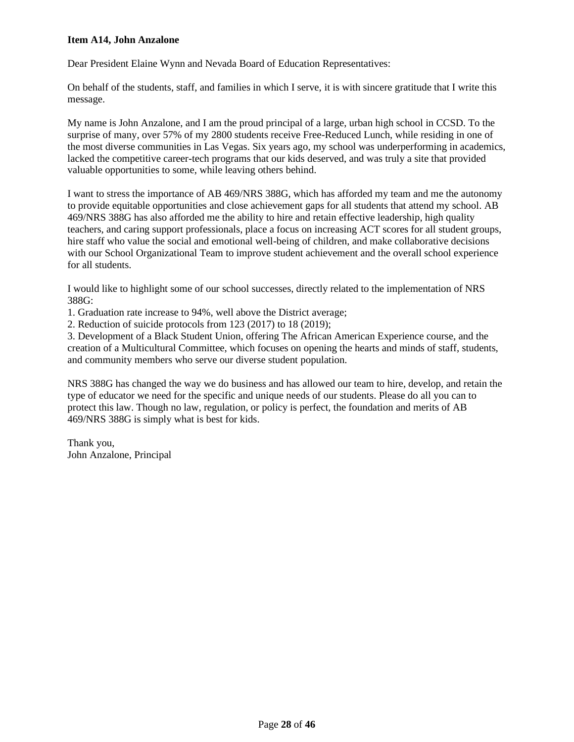#### **Item A14, John Anzalone**

Dear President Elaine Wynn and Nevada Board of Education Representatives:

On behalf of the students, staff, and families in which I serve, it is with sincere gratitude that I write this message.

My name is John Anzalone, and I am the proud principal of a large, urban high school in CCSD. To the surprise of many, over 57% of my 2800 students receive Free-Reduced Lunch, while residing in one of the most diverse communities in Las Vegas. Six years ago, my school was underperforming in academics, lacked the competitive career-tech programs that our kids deserved, and was truly a site that provided valuable opportunities to some, while leaving others behind.

I want to stress the importance of AB 469/NRS 388G, which has afforded my team and me the autonomy to provide equitable opportunities and close achievement gaps for all students that attend my school. AB 469/NRS 388G has also afforded me the ability to hire and retain effective leadership, high quality teachers, and caring support professionals, place a focus on increasing ACT scores for all student groups, hire staff who value the social and emotional well-being of children, and make collaborative decisions with our School Organizational Team to improve student achievement and the overall school experience for all students.

I would like to highlight some of our school successes, directly related to the implementation of NRS 388G:

1. Graduation rate increase to 94%, well above the District average;

2. Reduction of suicide protocols from 123 (2017) to 18 (2019);

3. Development of a Black Student Union, offering The African American Experience course, and the creation of a Multicultural Committee, which focuses on opening the hearts and minds of staff, students, and community members who serve our diverse student population.

NRS 388G has changed the way we do business and has allowed our team to hire, develop, and retain the type of educator we need for the specific and unique needs of our students. Please do all you can to protect this law. Though no law, regulation, or policy is perfect, the foundation and merits of AB 469/NRS 388G is simply what is best for kids.

Thank you, John Anzalone, Principal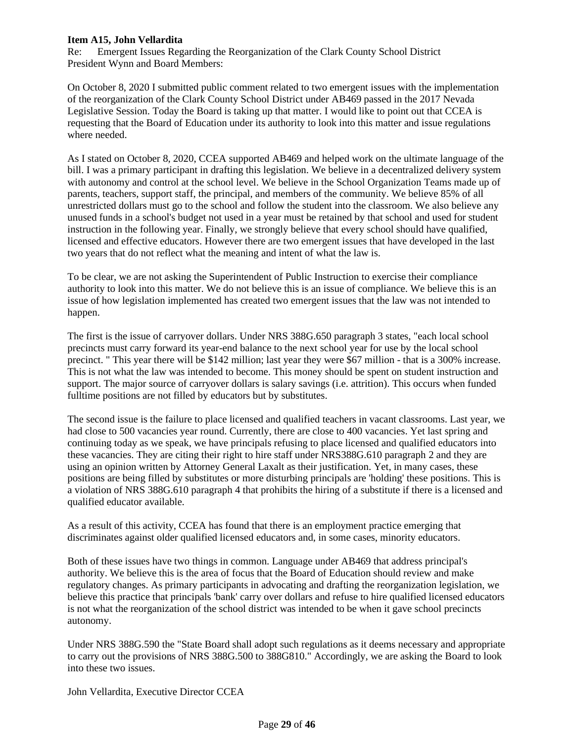## **Item A15, John Vellardita**

Re: Emergent Issues Regarding the Reorganization of the Clark County School District President Wynn and Board Members:

On October 8, 2020 I submitted public comment related to two emergent issues with the implementation of the reorganization of the Clark County School District under AB469 passed in the 2017 Nevada Legislative Session. Today the Board is taking up that matter. I would like to point out that CCEA is requesting that the Board of Education under its authority to look into this matter and issue regulations where needed.

As I stated on October 8, 2020, CCEA supported AB469 and helped work on the ultimate language of the bill. I was a primary participant in drafting this legislation. We believe in a decentralized delivery system with autonomy and control at the school level. We believe in the School Organization Teams made up of parents, teachers, support staff, the principal, and members of the community. We believe 85% of all unrestricted dollars must go to the school and follow the student into the classroom. We also believe any unused funds in a school's budget not used in a year must be retained by that school and used for student instruction in the following year. Finally, we strongly believe that every school should have qualified, licensed and effective educators. However there are two emergent issues that have developed in the last two years that do not reflect what the meaning and intent of what the law is.

To be clear, we are not asking the Superintendent of Public Instruction to exercise their compliance authority to look into this matter. We do not believe this is an issue of compliance. We believe this is an issue of how legislation implemented has created two emergent issues that the law was not intended to happen.

The first is the issue of carryover dollars. Under NRS 388G.650 paragraph 3 states, "each local school precincts must carry forward its year-end balance to the next school year for use by the local school precinct. " This year there will be \$142 million; last year they were \$67 million - that is a 300% increase. This is not what the law was intended to become. This money should be spent on student instruction and support. The major source of carryover dollars is salary savings (i.e. attrition). This occurs when funded fulltime positions are not filled by educators but by substitutes.

The second issue is the failure to place licensed and qualified teachers in vacant classrooms. Last year, we had close to 500 vacancies year round. Currently, there are close to 400 vacancies. Yet last spring and continuing today as we speak, we have principals refusing to place licensed and qualified educators into these vacancies. They are citing their right to hire staff under NRS388G.610 paragraph 2 and they are using an opinion written by Attorney General Laxalt as their justification. Yet, in many cases, these positions are being filled by substitutes or more disturbing principals are 'holding' these positions. This is a violation of NRS 388G.610 paragraph 4 that prohibits the hiring of a substitute if there is a licensed and qualified educator available.

As a result of this activity, CCEA has found that there is an employment practice emerging that discriminates against older qualified licensed educators and, in some cases, minority educators.

Both of these issues have two things in common. Language under AB469 that address principal's authority. We believe this is the area of focus that the Board of Education should review and make regulatory changes. As primary participants in advocating and drafting the reorganization legislation, we believe this practice that principals 'bank' carry over dollars and refuse to hire qualified licensed educators is not what the reorganization of the school district was intended to be when it gave school precincts autonomy.

Under NRS 388G.590 the "State Board shall adopt such regulations as it deems necessary and appropriate to carry out the provisions of NRS 388G.500 to 388G810." Accordingly, we are asking the Board to look into these two issues.

John Vellardita, Executive Director CCEA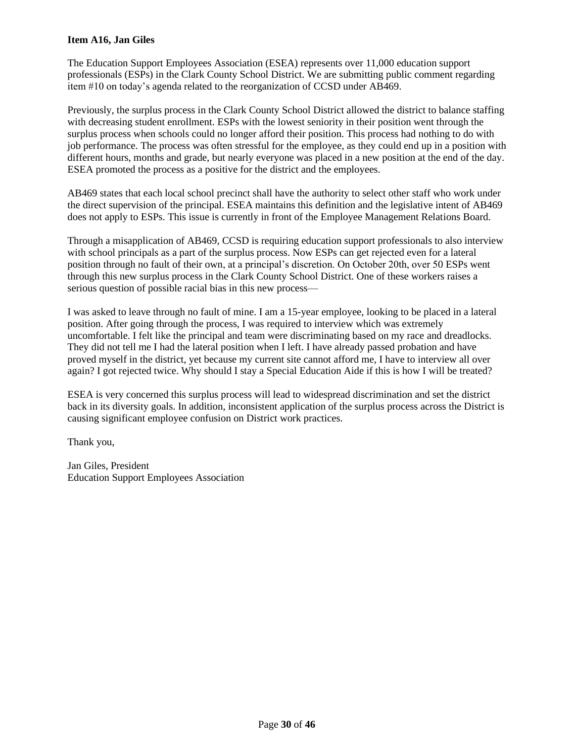## **Item A16, Jan Giles**

The Education Support Employees Association (ESEA) represents over 11,000 education support professionals (ESPs) in the Clark County School District. We are submitting public comment regarding item #10 on today's agenda related to the reorganization of CCSD under AB469.

Previously, the surplus process in the Clark County School District allowed the district to balance staffing with decreasing student enrollment. ESPs with the lowest seniority in their position went through the surplus process when schools could no longer afford their position. This process had nothing to do with job performance. The process was often stressful for the employee, as they could end up in a position with different hours, months and grade, but nearly everyone was placed in a new position at the end of the day. ESEA promoted the process as a positive for the district and the employees.

AB469 states that each local school precinct shall have the authority to select other staff who work under the direct supervision of the principal. ESEA maintains this definition and the legislative intent of AB469 does not apply to ESPs. This issue is currently in front of the Employee Management Relations Board.

Through a misapplication of AB469, CCSD is requiring education support professionals to also interview with school principals as a part of the surplus process. Now ESPs can get rejected even for a lateral position through no fault of their own, at a principal's discretion. On October 20th, over 50 ESPs went through this new surplus process in the Clark County School District. One of these workers raises a serious question of possible racial bias in this new process—

I was asked to leave through no fault of mine. I am a 15-year employee, looking to be placed in a lateral position. After going through the process, I was required to interview which was extremely uncomfortable. I felt like the principal and team were discriminating based on my race and dreadlocks. They did not tell me I had the lateral position when I left. I have already passed probation and have proved myself in the district, yet because my current site cannot afford me, I have to interview all over again? I got rejected twice. Why should I stay a Special Education Aide if this is how I will be treated?

ESEA is very concerned this surplus process will lead to widespread discrimination and set the district back in its diversity goals. In addition, inconsistent application of the surplus process across the District is causing significant employee confusion on District work practices.

Thank you,

Jan Giles, President Education Support Employees Association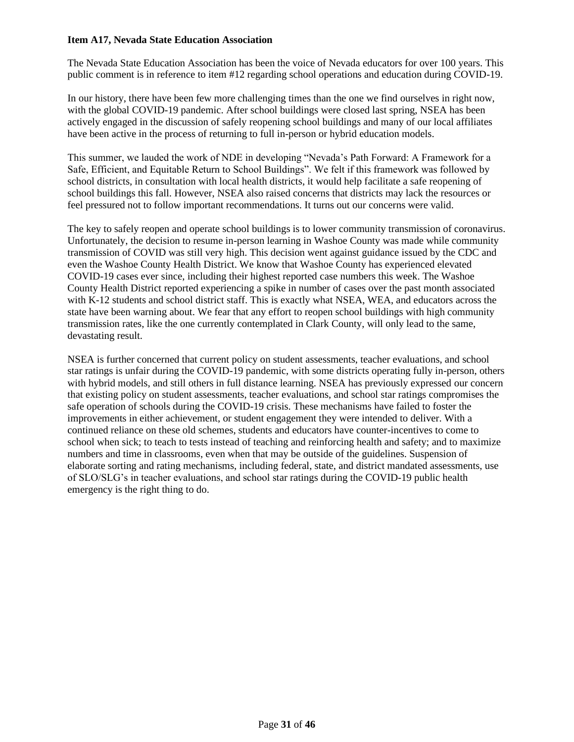### **Item A17, Nevada State Education Association**

The Nevada State Education Association has been the voice of Nevada educators for over 100 years. This public comment is in reference to item #12 regarding school operations and education during COVID-19.

In our history, there have been few more challenging times than the one we find ourselves in right now, with the global COVID-19 pandemic. After school buildings were closed last spring, NSEA has been actively engaged in the discussion of safely reopening school buildings and many of our local affiliates have been active in the process of returning to full in-person or hybrid education models.

This summer, we lauded the work of NDE in developing "Nevada's Path Forward: A Framework for a Safe, Efficient, and Equitable Return to School Buildings". We felt if this framework was followed by school districts, in consultation with local health districts, it would help facilitate a safe reopening of school buildings this fall. However, NSEA also raised concerns that districts may lack the resources or feel pressured not to follow important recommendations. It turns out our concerns were valid.

The key to safely reopen and operate school buildings is to lower community transmission of coronavirus. Unfortunately, the decision to resume in-person learning in Washoe County was made while community transmission of COVID was still very high. This decision went against guidance issued by the CDC and even the Washoe County Health District. We know that Washoe County has experienced elevated COVID-19 cases ever since, including their highest reported case numbers this week. The Washoe County Health District reported experiencing a spike in number of cases over the past month associated with K-12 students and school district staff. This is exactly what NSEA, WEA, and educators across the state have been warning about. We fear that any effort to reopen school buildings with high community transmission rates, like the one currently contemplated in Clark County, will only lead to the same, devastating result.

NSEA is further concerned that current policy on student assessments, teacher evaluations, and school star ratings is unfair during the COVID-19 pandemic, with some districts operating fully in-person, others with hybrid models, and still others in full distance learning. NSEA has previously expressed our concern that existing policy on student assessments, teacher evaluations, and school star ratings compromises the safe operation of schools during the COVID-19 crisis. These mechanisms have failed to foster the improvements in either achievement, or student engagement they were intended to deliver. With a continued reliance on these old schemes, students and educators have counter-incentives to come to school when sick; to teach to tests instead of teaching and reinforcing health and safety; and to maximize numbers and time in classrooms, even when that may be outside of the guidelines. Suspension of elaborate sorting and rating mechanisms, including federal, state, and district mandated assessments, use of SLO/SLG's in teacher evaluations, and school star ratings during the COVID-19 public health emergency is the right thing to do.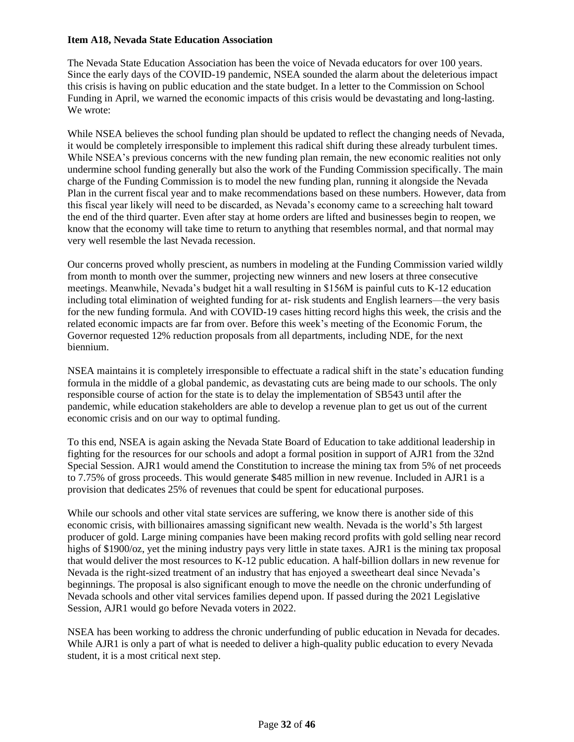### **Item A18, Nevada State Education Association**

The Nevada State Education Association has been the voice of Nevada educators for over 100 years. Since the early days of the COVID-19 pandemic, NSEA sounded the alarm about the deleterious impact this crisis is having on public education and the state budget. In a letter to the Commission on School Funding in April, we warned the economic impacts of this crisis would be devastating and long-lasting. We wrote:

While NSEA believes the school funding plan should be updated to reflect the changing needs of Nevada, it would be completely irresponsible to implement this radical shift during these already turbulent times. While NSEA's previous concerns with the new funding plan remain, the new economic realities not only undermine school funding generally but also the work of the Funding Commission specifically. The main charge of the Funding Commission is to model the new funding plan, running it alongside the Nevada Plan in the current fiscal year and to make recommendations based on these numbers. However, data from this fiscal year likely will need to be discarded, as Nevada's economy came to a screeching halt toward the end of the third quarter. Even after stay at home orders are lifted and businesses begin to reopen, we know that the economy will take time to return to anything that resembles normal, and that normal may very well resemble the last Nevada recession.

Our concerns proved wholly prescient, as numbers in modeling at the Funding Commission varied wildly from month to month over the summer, projecting new winners and new losers at three consecutive meetings. Meanwhile, Nevada's budget hit a wall resulting in \$156M is painful cuts to K-12 education including total elimination of weighted funding for at- risk students and English learners—the very basis for the new funding formula. And with COVID-19 cases hitting record highs this week, the crisis and the related economic impacts are far from over. Before this week's meeting of the Economic Forum, the Governor requested 12% reduction proposals from all departments, including NDE, for the next biennium.

NSEA maintains it is completely irresponsible to effectuate a radical shift in the state's education funding formula in the middle of a global pandemic, as devastating cuts are being made to our schools. The only responsible course of action for the state is to delay the implementation of SB543 until after the pandemic, while education stakeholders are able to develop a revenue plan to get us out of the current economic crisis and on our way to optimal funding.

To this end, NSEA is again asking the Nevada State Board of Education to take additional leadership in fighting for the resources for our schools and adopt a formal position in support of AJR1 from the 32nd Special Session. AJR1 would amend the Constitution to increase the mining tax from 5% of net proceeds to 7.75% of gross proceeds. This would generate \$485 million in new revenue. Included in AJR1 is a provision that dedicates 25% of revenues that could be spent for educational purposes.

While our schools and other vital state services are suffering, we know there is another side of this economic crisis, with billionaires amassing significant new wealth. Nevada is the world's 5th largest producer of gold. Large mining companies have been making record profits with gold selling near record highs of \$1900/oz, yet the mining industry pays very little in state taxes. AJR1 is the mining tax proposal that would deliver the most resources to K-12 public education. A half-billion dollars in new revenue for Nevada is the right-sized treatment of an industry that has enjoyed a sweetheart deal since Nevada's beginnings. The proposal is also significant enough to move the needle on the chronic underfunding of Nevada schools and other vital services families depend upon. If passed during the 2021 Legislative Session, AJR1 would go before Nevada voters in 2022.

NSEA has been working to address the chronic underfunding of public education in Nevada for decades. While AJR1 is only a part of what is needed to deliver a high-quality public education to every Nevada student, it is a most critical next step.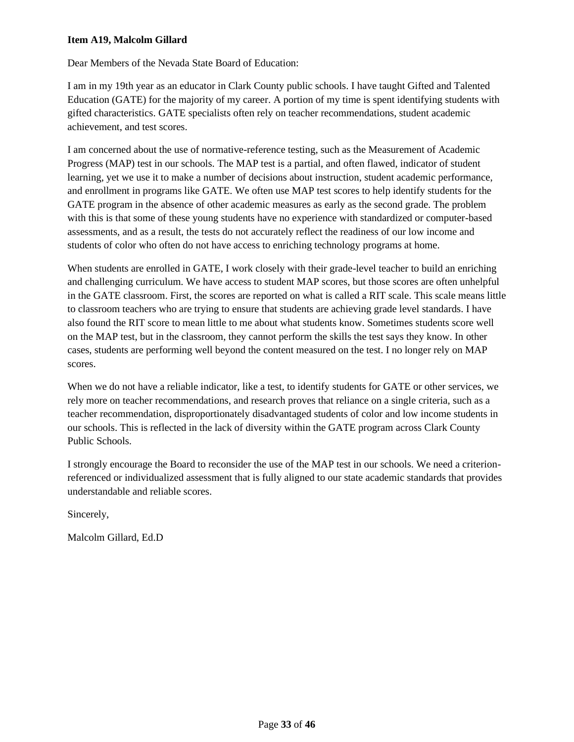## **Item A19, Malcolm Gillard**

Dear Members of the Nevada State Board of Education:

I am in my 19th year as an educator in Clark County public schools. I have taught Gifted and Talented Education (GATE) for the majority of my career. A portion of my time is spent identifying students with gifted characteristics. GATE specialists often rely on teacher recommendations, student academic achievement, and test scores.

I am concerned about the use of normative-reference testing, such as the Measurement of Academic Progress (MAP) test in our schools. The MAP test is a partial, and often flawed, indicator of student learning, yet we use it to make a number of decisions about instruction, student academic performance, and enrollment in programs like GATE. We often use MAP test scores to help identify students for the GATE program in the absence of other academic measures as early as the second grade. The problem with this is that some of these young students have no experience with standardized or computer-based assessments, and as a result, the tests do not accurately reflect the readiness of our low income and students of color who often do not have access to enriching technology programs at home.

When students are enrolled in GATE, I work closely with their grade-level teacher to build an enriching and challenging curriculum. We have access to student MAP scores, but those scores are often unhelpful in the GATE classroom. First, the scores are reported on what is called a RIT scale. This scale means little to classroom teachers who are trying to ensure that students are achieving grade level standards. I have also found the RIT score to mean little to me about what students know. Sometimes students score well on the MAP test, but in the classroom, they cannot perform the skills the test says they know. In other cases, students are performing well beyond the content measured on the test. I no longer rely on MAP scores.

When we do not have a reliable indicator, like a test, to identify students for GATE or other services, we rely more on teacher recommendations, and research proves that reliance on a single criteria, such as a teacher recommendation, disproportionately disadvantaged students of color and low income students in our schools. This is reflected in the lack of diversity within the GATE program across Clark County Public Schools.

I strongly encourage the Board to reconsider the use of the MAP test in our schools. We need a criterionreferenced or individualized assessment that is fully aligned to our state academic standards that provides understandable and reliable scores.

Sincerely,

Malcolm Gillard, Ed.D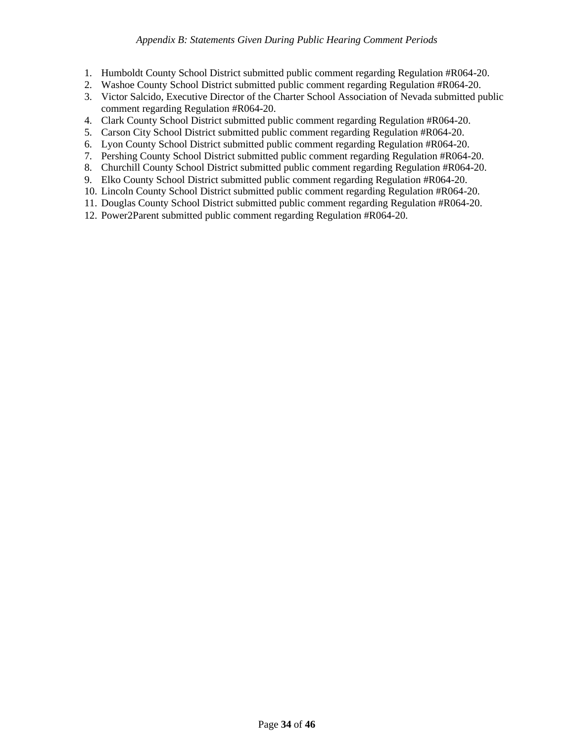- 1. Humboldt County School District submitted public comment regarding Regulation #R064-20.
- 2. Washoe County School District submitted public comment regarding Regulation #R064-20.
- 3. Victor Salcido, Executive Director of the Charter School Association of Nevada submitted public comment regarding Regulation #R064-20.
- 4. Clark County School District submitted public comment regarding Regulation #R064-20.
- 5. Carson City School District submitted public comment regarding Regulation #R064-20.
- 6. Lyon County School District submitted public comment regarding Regulation #R064-20.
- 7. Pershing County School District submitted public comment regarding Regulation #R064-20.
- 8. Churchill County School District submitted public comment regarding Regulation #R064-20.
- 9. Elko County School District submitted public comment regarding Regulation #R064-20.
- 10. Lincoln County School District submitted public comment regarding Regulation #R064-20.
- 11. Douglas County School District submitted public comment regarding Regulation #R064-20.
- 12. Power2Parent submitted public comment regarding Regulation #R064-20.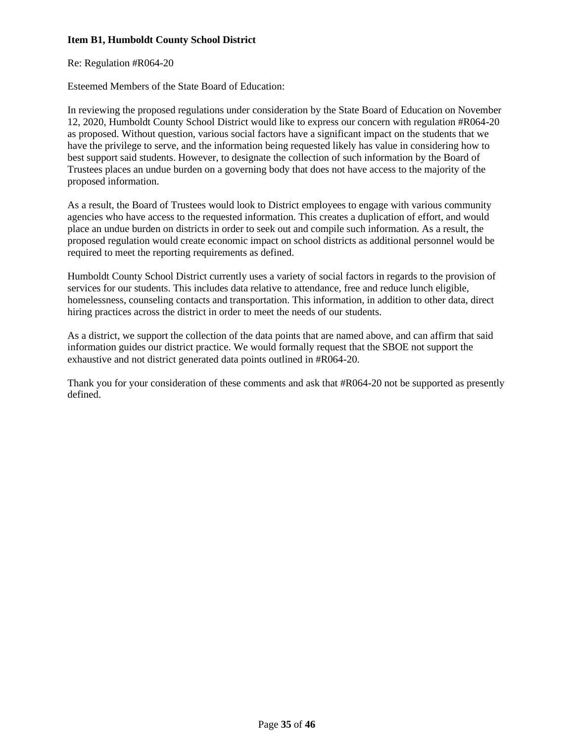# **Item B1, Humboldt County School District**

Re: Regulation #R064-20

Esteemed Members of the State Board of Education:

In reviewing the proposed regulations under consideration by the State Board of Education on November 12, 2020, Humboldt County School District would like to express our concern with regulation #R064-20 as proposed. Without question, various social factors have a significant impact on the students that we have the privilege to serve, and the information being requested likely has value in considering how to best support said students. However, to designate the collection of such information by the Board of Trustees places an undue burden on a governing body that does not have access to the majority of the proposed information.

As a result, the Board of Trustees would look to District employees to engage with various community agencies who have access to the requested information. This creates a duplication of effort, and would place an undue burden on districts in order to seek out and compile such information. As a result, the proposed regulation would create economic impact on school districts as additional personnel would be required to meet the reporting requirements as defined.

Humboldt County School District currently uses a variety of social factors in regards to the provision of services for our students. This includes data relative to attendance, free and reduce lunch eligible, homelessness, counseling contacts and transportation. This information, in addition to other data, direct hiring practices across the district in order to meet the needs of our students.

As a district, we support the collection of the data points that are named above, and can affirm that said information guides our district practice. We would formally request that the SBOE not support the exhaustive and not district generated data points outlined in #R064-20.

Thank you for your consideration of these comments and ask that #R064-20 not be supported as presently defined.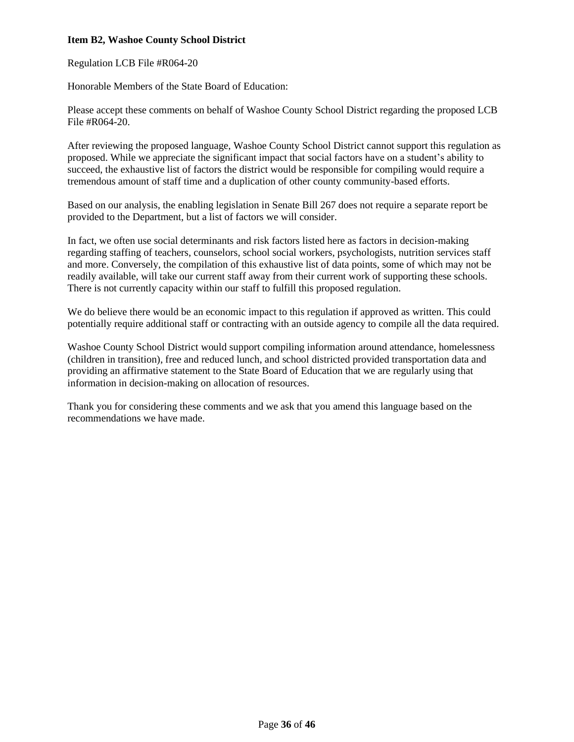## **Item B2, Washoe County School District**

Regulation LCB File #R064-20

Honorable Members of the State Board of Education:

Please accept these comments on behalf of Washoe County School District regarding the proposed LCB File #R064-20.

After reviewing the proposed language, Washoe County School District cannot support this regulation as proposed. While we appreciate the significant impact that social factors have on a student's ability to succeed, the exhaustive list of factors the district would be responsible for compiling would require a tremendous amount of staff time and a duplication of other county community-based efforts.

Based on our analysis, the enabling legislation in Senate Bill 267 does not require a separate report be provided to the Department, but a list of factors we will consider.

In fact, we often use social determinants and risk factors listed here as factors in decision-making regarding staffing of teachers, counselors, school social workers, psychologists, nutrition services staff and more. Conversely, the compilation of this exhaustive list of data points, some of which may not be readily available, will take our current staff away from their current work of supporting these schools. There is not currently capacity within our staff to fulfill this proposed regulation.

We do believe there would be an economic impact to this regulation if approved as written. This could potentially require additional staff or contracting with an outside agency to compile all the data required.

Washoe County School District would support compiling information around attendance, homelessness (children in transition), free and reduced lunch, and school districted provided transportation data and providing an affirmative statement to the State Board of Education that we are regularly using that information in decision-making on allocation of resources.

Thank you for considering these comments and we ask that you amend this language based on the recommendations we have made.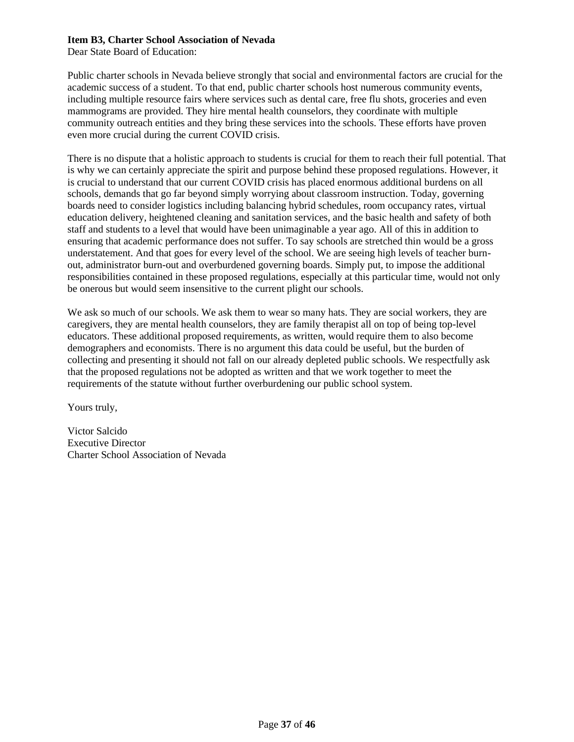### **Item B3, Charter School Association of Nevada**

Dear State Board of Education:

Public charter schools in Nevada believe strongly that social and environmental factors are crucial for the academic success of a student. To that end, public charter schools host numerous community events, including multiple resource fairs where services such as dental care, free flu shots, groceries and even mammograms are provided. They hire mental health counselors, they coordinate with multiple community outreach entities and they bring these services into the schools. These efforts have proven even more crucial during the current COVID crisis.

There is no dispute that a holistic approach to students is crucial for them to reach their full potential. That is why we can certainly appreciate the spirit and purpose behind these proposed regulations. However, it is crucial to understand that our current COVID crisis has placed enormous additional burdens on all schools, demands that go far beyond simply worrying about classroom instruction. Today, governing boards need to consider logistics including balancing hybrid schedules, room occupancy rates, virtual education delivery, heightened cleaning and sanitation services, and the basic health and safety of both staff and students to a level that would have been unimaginable a year ago. All of this in addition to ensuring that academic performance does not suffer. To say schools are stretched thin would be a gross understatement. And that goes for every level of the school. We are seeing high levels of teacher burnout, administrator burn-out and overburdened governing boards. Simply put, to impose the additional responsibilities contained in these proposed regulations, especially at this particular time, would not only be onerous but would seem insensitive to the current plight our schools.

We ask so much of our schools. We ask them to wear so many hats. They are social workers, they are caregivers, they are mental health counselors, they are family therapist all on top of being top-level educators. These additional proposed requirements, as written, would require them to also become demographers and economists. There is no argument this data could be useful, but the burden of collecting and presenting it should not fall on our already depleted public schools. We respectfully ask that the proposed regulations not be adopted as written and that we work together to meet the requirements of the statute without further overburdening our public school system.

Yours truly,

Victor Salcido Executive Director Charter School Association of Nevada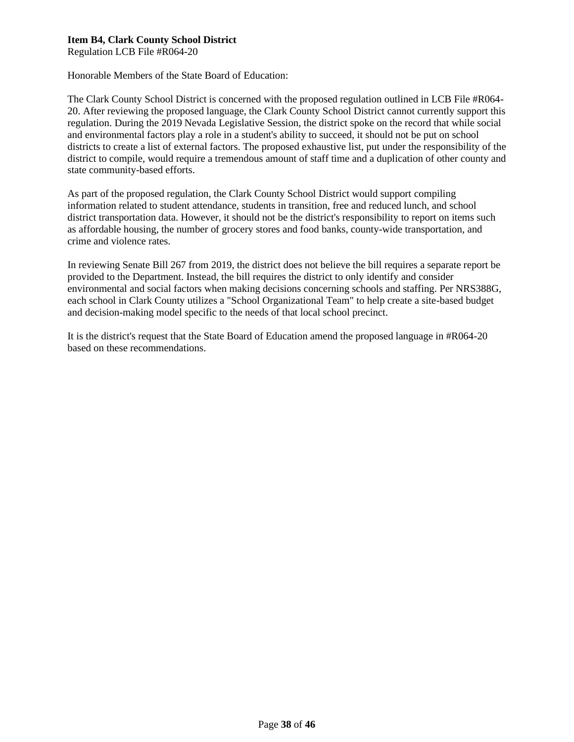# **Item B4, Clark County School District**

Regulation LCB File #R064-20

Honorable Members of the State Board of Education:

The Clark County School District is concerned with the proposed regulation outlined in LCB File #R064- 20. After reviewing the proposed language, the Clark County School District cannot currently support this regulation. During the 2019 Nevada Legislative Session, the district spoke on the record that while social and environmental factors play a role in a student's ability to succeed, it should not be put on school districts to create a list of external factors. The proposed exhaustive list, put under the responsibility of the district to compile, would require a tremendous amount of staff time and a duplication of other county and state community-based efforts.

As part of the proposed regulation, the Clark County School District would support compiling information related to student attendance, students in transition, free and reduced lunch, and school district transportation data. However, it should not be the district's responsibility to report on items such as affordable housing, the number of grocery stores and food banks, county-wide transportation, and crime and violence rates.

In reviewing Senate Bill 267 from 2019, the district does not believe the bill requires a separate report be provided to the Department. Instead, the bill requires the district to only identify and consider environmental and social factors when making decisions concerning schools and staffing. Per NRS388G, each school in Clark County utilizes a "School Organizational Team" to help create a site-based budget and decision-making model specific to the needs of that local school precinct.

It is the district's request that the State Board of Education amend the proposed language in #R064-20 based on these recommendations.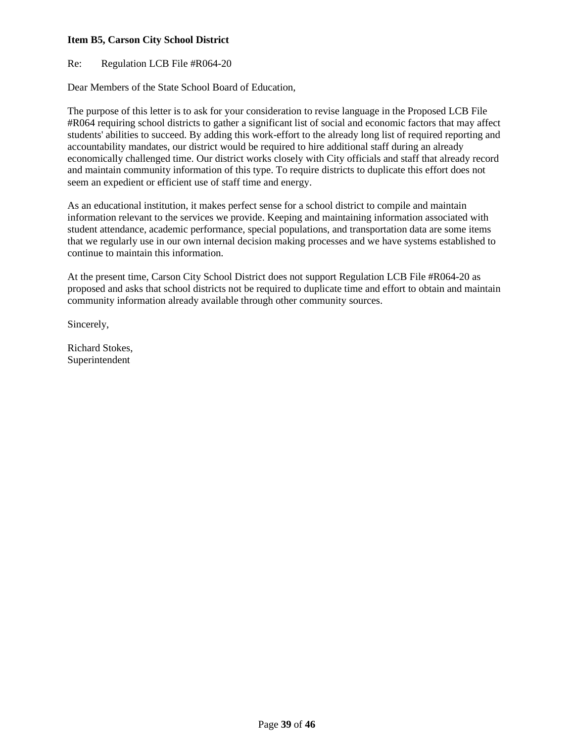## **Item B5, Carson City School District**

Re: Regulation LCB File #R064-20

Dear Members of the State School Board of Education,

The purpose of this letter is to ask for your consideration to revise language in the Proposed LCB File #R064 requiring school districts to gather a significant list of social and economic factors that may affect students' abilities to succeed. By adding this work-effort to the already long list of required reporting and accountability mandates, our district would be required to hire additional staff during an already economically challenged time. Our district works closely with City officials and staff that already record and maintain community information of this type. To require districts to duplicate this effort does not seem an expedient or efficient use of staff time and energy.

As an educational institution, it makes perfect sense for a school district to compile and maintain information relevant to the services we provide. Keeping and maintaining information associated with student attendance, academic performance, special populations, and transportation data are some items that we regularly use in our own internal decision making processes and we have systems established to continue to maintain this information.

At the present time, Carson City School District does not support Regulation LCB File #R064-20 as proposed and asks that school districts not be required to duplicate time and effort to obtain and maintain community information already available through other community sources.

Sincerely,

Richard Stokes, Superintendent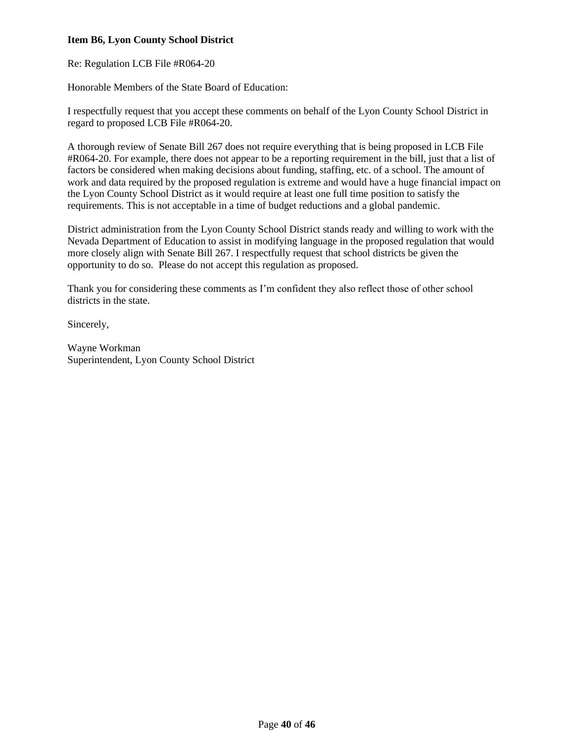# **Item B6, Lyon County School District**

Re: Regulation LCB File #R064-20

Honorable Members of the State Board of Education:

I respectfully request that you accept these comments on behalf of the Lyon County School District in regard to proposed LCB File #R064-20.

A thorough review of Senate Bill 267 does not require everything that is being proposed in LCB File #R064-20. For example, there does not appear to be a reporting requirement in the bill, just that a list of factors be considered when making decisions about funding, staffing, etc. of a school. The amount of work and data required by the proposed regulation is extreme and would have a huge financial impact on the Lyon County School District as it would require at least one full time position to satisfy the requirements. This is not acceptable in a time of budget reductions and a global pandemic.

District administration from the Lyon County School District stands ready and willing to work with the Nevada Department of Education to assist in modifying language in the proposed regulation that would more closely align with Senate Bill 267. I respectfully request that school districts be given the opportunity to do so. Please do not accept this regulation as proposed.

Thank you for considering these comments as I'm confident they also reflect those of other school districts in the state.

Sincerely,

Wayne Workman Superintendent, Lyon County School District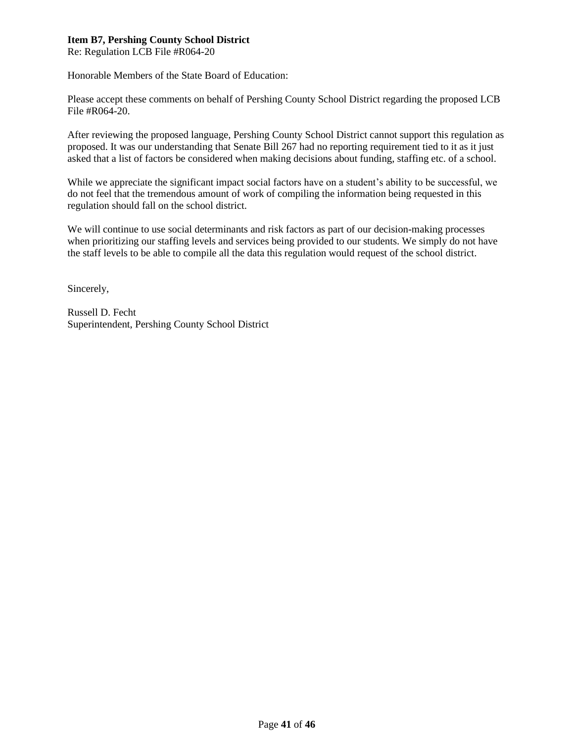## **Item B7, Pershing County School District**

Re: Regulation LCB File #R064-20

Honorable Members of the State Board of Education:

Please accept these comments on behalf of Pershing County School District regarding the proposed LCB File #R064-20.

After reviewing the proposed language, Pershing County School District cannot support this regulation as proposed. It was our understanding that Senate Bill 267 had no reporting requirement tied to it as it just asked that a list of factors be considered when making decisions about funding, staffing etc. of a school.

While we appreciate the significant impact social factors have on a student's ability to be successful, we do not feel that the tremendous amount of work of compiling the information being requested in this regulation should fall on the school district.

We will continue to use social determinants and risk factors as part of our decision-making processes when prioritizing our staffing levels and services being provided to our students. We simply do not have the staff levels to be able to compile all the data this regulation would request of the school district.

Sincerely,

Russell D. Fecht Superintendent, Pershing County School District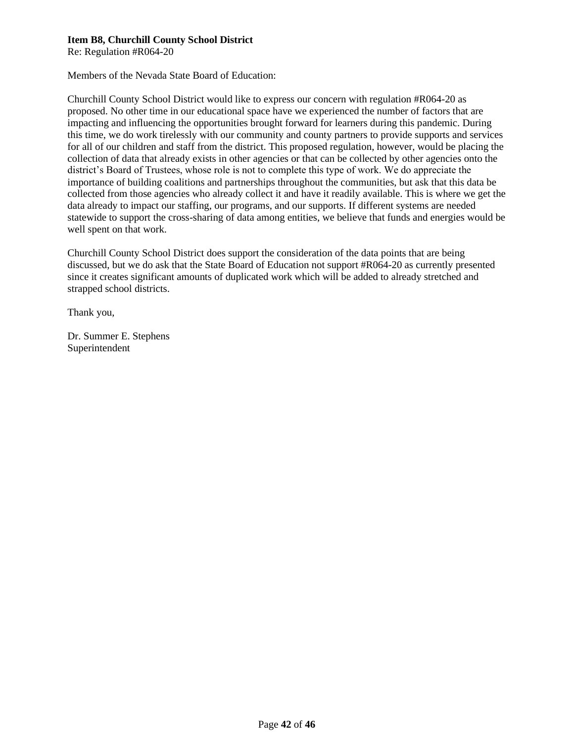### **Item B8, Churchill County School District**

Re: Regulation #R064-20

Members of the Nevada State Board of Education:

Churchill County School District would like to express our concern with regulation #R064-20 as proposed. No other time in our educational space have we experienced the number of factors that are impacting and influencing the opportunities brought forward for learners during this pandemic. During this time, we do work tirelessly with our community and county partners to provide supports and services for all of our children and staff from the district. This proposed regulation, however, would be placing the collection of data that already exists in other agencies or that can be collected by other agencies onto the district's Board of Trustees, whose role is not to complete this type of work. We do appreciate the importance of building coalitions and partnerships throughout the communities, but ask that this data be collected from those agencies who already collect it and have it readily available. This is where we get the data already to impact our staffing, our programs, and our supports. If different systems are needed statewide to support the cross-sharing of data among entities, we believe that funds and energies would be well spent on that work.

Churchill County School District does support the consideration of the data points that are being discussed, but we do ask that the State Board of Education not support #R064-20 as currently presented since it creates significant amounts of duplicated work which will be added to already stretched and strapped school districts.

Thank you,

Dr. Summer E. Stephens Superintendent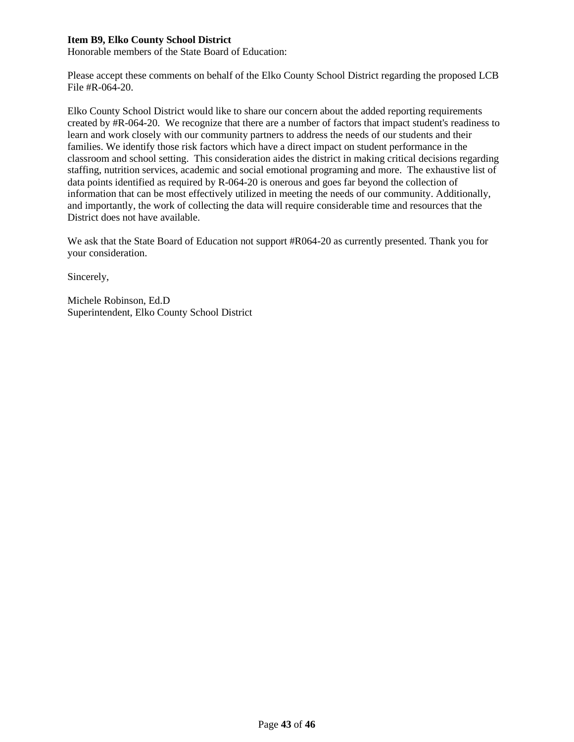### **Item B9, Elko County School District**

Honorable members of the State Board of Education:

Please accept these comments on behalf of the Elko County School District regarding the proposed LCB File #R-064-20.

Elko County School District would like to share our concern about the added reporting requirements created by #R-064-20. We recognize that there are a number of factors that impact student's readiness to learn and work closely with our community partners to address the needs of our students and their families. We identify those risk factors which have a direct impact on student performance in the classroom and school setting. This consideration aides the district in making critical decisions regarding staffing, nutrition services, academic and social emotional programing and more. The exhaustive list of data points identified as required by R-064-20 is onerous and goes far beyond the collection of information that can be most effectively utilized in meeting the needs of our community. Additionally, and importantly, the work of collecting the data will require considerable time and resources that the District does not have available.

We ask that the State Board of Education not support #R064-20 as currently presented. Thank you for your consideration.

Sincerely,

Michele Robinson, Ed.D Superintendent, Elko County School District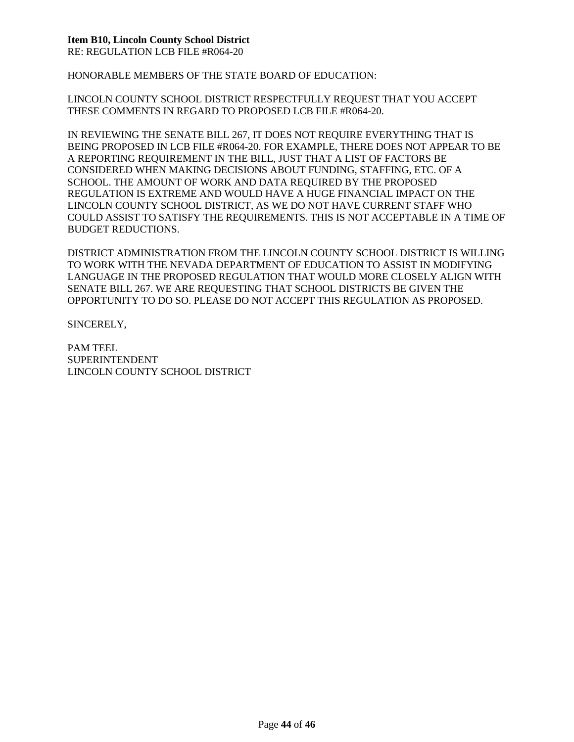## **Item B10, Lincoln County School District**

RE: REGULATION LCB FILE #R064-20

HONORABLE MEMBERS OF THE STATE BOARD OF EDUCATION:

LINCOLN COUNTY SCHOOL DISTRICT RESPECTFULLY REQUEST THAT YOU ACCEPT THESE COMMENTS IN REGARD TO PROPOSED LCB FILE #R064-20.

IN REVIEWING THE SENATE BILL 267, IT DOES NOT REQUIRE EVERYTHING THAT IS BEING PROPOSED IN LCB FILE #R064-20. FOR EXAMPLE, THERE DOES NOT APPEAR TO BE A REPORTING REQUIREMENT IN THE BILL, JUST THAT A LIST OF FACTORS BE CONSIDERED WHEN MAKING DECISIONS ABOUT FUNDING, STAFFING, ETC. OF A SCHOOL. THE AMOUNT OF WORK AND DATA REQUIRED BY THE PROPOSED REGULATION IS EXTREME AND WOULD HAVE A HUGE FINANCIAL IMPACT ON THE LINCOLN COUNTY SCHOOL DISTRICT, AS WE DO NOT HAVE CURRENT STAFF WHO COULD ASSIST TO SATISFY THE REQUIREMENTS. THIS IS NOT ACCEPTABLE IN A TIME OF BUDGET REDUCTIONS.

DISTRICT ADMINISTRATION FROM THE LINCOLN COUNTY SCHOOL DISTRICT IS WILLING TO WORK WITH THE NEVADA DEPARTMENT OF EDUCATION TO ASSIST IN MODIFYING LANGUAGE IN THE PROPOSED REGULATION THAT WOULD MORE CLOSELY ALIGN WITH SENATE BILL 267. WE ARE REQUESTING THAT SCHOOL DISTRICTS BE GIVEN THE OPPORTUNITY TO DO SO. PLEASE DO NOT ACCEPT THIS REGULATION AS PROPOSED.

SINCERELY,

PAM TEEL SUPERINTENDENT LINCOLN COUNTY SCHOOL DISTRICT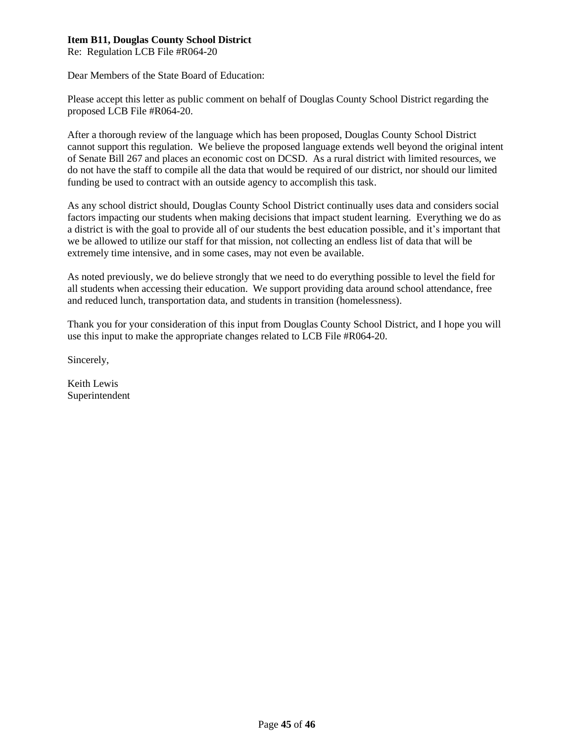## **Item B11, Douglas County School District**

Re: Regulation LCB File #R064-20

Dear Members of the State Board of Education:

Please accept this letter as public comment on behalf of Douglas County School District regarding the proposed LCB File #R064-20.

After a thorough review of the language which has been proposed, Douglas County School District cannot support this regulation. We believe the proposed language extends well beyond the original intent of Senate Bill 267 and places an economic cost on DCSD. As a rural district with limited resources, we do not have the staff to compile all the data that would be required of our district, nor should our limited funding be used to contract with an outside agency to accomplish this task.

As any school district should, Douglas County School District continually uses data and considers social factors impacting our students when making decisions that impact student learning. Everything we do as a district is with the goal to provide all of our students the best education possible, and it's important that we be allowed to utilize our staff for that mission, not collecting an endless list of data that will be extremely time intensive, and in some cases, may not even be available.

As noted previously, we do believe strongly that we need to do everything possible to level the field for all students when accessing their education. We support providing data around school attendance, free and reduced lunch, transportation data, and students in transition (homelessness).

Thank you for your consideration of this input from Douglas County School District, and I hope you will use this input to make the appropriate changes related to LCB File #R064-20.

Sincerely,

Keith Lewis Superintendent